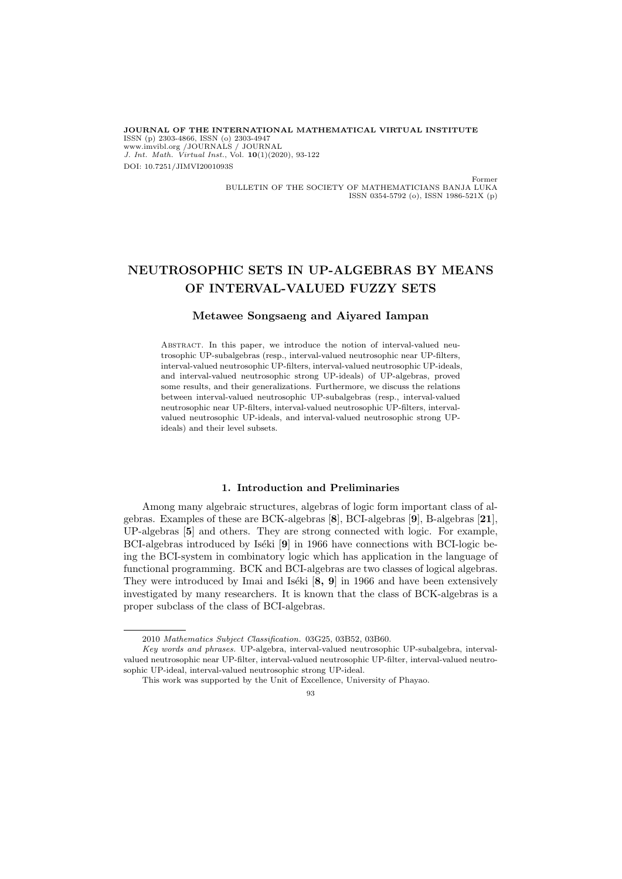**JOURNAL OF THE INTERNATIONAL MATHEMATICAL VIRTUAL INSTITUTE** ISSN (p) 2303-4866, ISSN (o) 2303-4947 www.imvibl.org /JOURNALS / JOURNAL *J. Int. Math. Virtual Inst.*, Vol. **10**(1)(2020), 93-122 DOI: 10.7251/JIMVI2001093S

> Former BULLETIN OF THE SOCIETY OF MATHEMATICIANS BANJA LUKA ISSN 0354-5792 (o), ISSN 1986-521X (p)

# **NEUTROSOPHIC SETS IN UP-ALGEBRAS BY MEANS OF INTERVAL-VALUED FUZZY SETS**

### **Metawee Songsaeng and Aiyared Iampan**

ABSTRACT. In this paper, we introduce the notion of interval-valued neutrosophic UP-subalgebras (resp., interval-valued neutrosophic near UP-filters, interval-valued neutrosophic UP-filters, interval-valued neutrosophic UP-ideals, and interval-valued neutrosophic strong UP-ideals) of UP-algebras, proved some results, and their generalizations. Furthermore, we discuss the relations between interval-valued neutrosophic UP-subalgebras (resp., interval-valued neutrosophic near UP-filters, interval-valued neutrosophic UP-filters, intervalvalued neutrosophic UP-ideals, and interval-valued neutrosophic strong UPideals) and their level subsets.

### **1. Introduction and Preliminaries**

Among many algebraic structures, algebras of logic form important class of algebras. Examples of these are BCK-algebras [**8**], BCI-algebras [**9**], B-algebras [**21**], UP-algebras [**5**] and others. They are strong connected with logic. For example, BCI-algebras introduced by Iséki [9] in 1966 have connections with BCI-logic being the BCI-system in combinatory logic which has application in the language of functional programming. BCK and BCI-algebras are two classes of logical algebras. They were introduced by Imai and Iséki  $[8, 9]$  in 1966 and have been extensively investigated by many researchers. It is known that the class of BCK-algebras is a proper subclass of the class of BCI-algebras.

93

<sup>2010</sup> *Mathematics Subject Classification.* 03G25, 03B52, 03B60.

*Key words and phrases.* UP-algebra, interval-valued neutrosophic UP-subalgebra, intervalvalued neutrosophic near UP-filter, interval-valued neutrosophic UP-filter, interval-valued neutrosophic UP-ideal, interval-valued neutrosophic strong UP-ideal.

This work was supported by the Unit of Excellence, University of Phayao.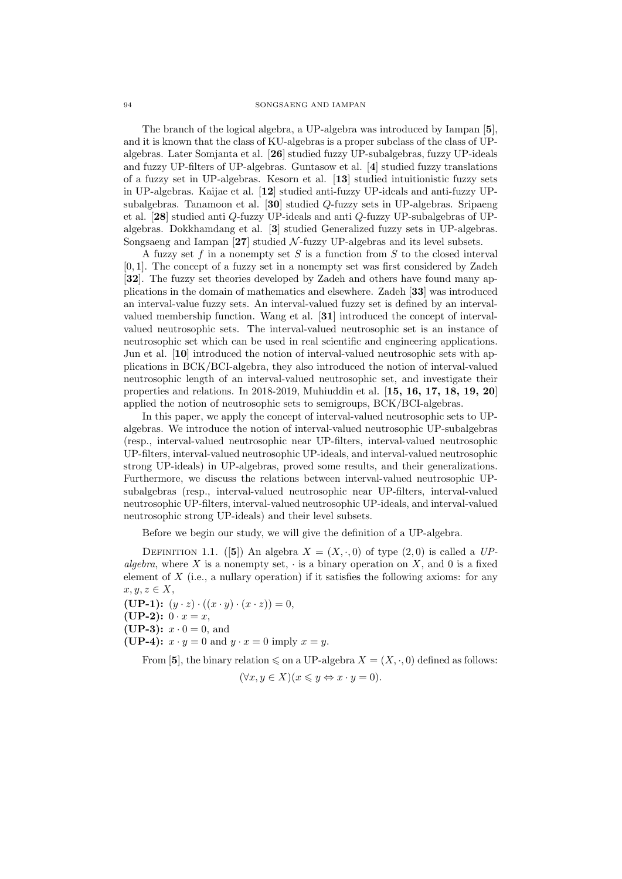The branch of the logical algebra, a UP-algebra was introduced by Iampan [**5**], and it is known that the class of KU-algebras is a proper subclass of the class of UPalgebras. Later Somjanta et al. [**26**] studied fuzzy UP-subalgebras, fuzzy UP-ideals and fuzzy UP-filters of UP-algebras. Guntasow et al. [**4**] studied fuzzy translations of a fuzzy set in UP-algebras. Kesorn et al. [**13**] studied intuitionistic fuzzy sets in UP-algebras. Kaijae et al. [**12**] studied anti-fuzzy UP-ideals and anti-fuzzy UPsubalgebras. Tanamoon et al. [**30**] studied *Q*-fuzzy sets in UP-algebras. Sripaeng et al. [**28**] studied anti *Q*-fuzzy UP-ideals and anti *Q*-fuzzy UP-subalgebras of UPalgebras. Dokkhamdang et al. [**3**] studied Generalized fuzzy sets in UP-algebras. Songsaeng and Iampan [**27**] studied *N* -fuzzy UP-algebras and its level subsets.

A fuzzy set *f* in a nonempty set *S* is a function from *S* to the closed interval [0*,* 1]. The concept of a fuzzy set in a nonempty set was first considered by Zadeh [**32**]. The fuzzy set theories developed by Zadeh and others have found many applications in the domain of mathematics and elsewhere. Zadeh [**33**] was introduced an interval-value fuzzy sets. An interval-valued fuzzy set is defined by an intervalvalued membership function. Wang et al. [**31**] introduced the concept of intervalvalued neutrosophic sets. The interval-valued neutrosophic set is an instance of neutrosophic set which can be used in real scientific and engineering applications. Jun et al. [**10**] introduced the notion of interval-valued neutrosophic sets with applications in BCK/BCI-algebra, they also introduced the notion of interval-valued neutrosophic length of an interval-valued neutrosophic set, and investigate their properties and relations. In 2018-2019, Muhiuddin et al. [**15, 16, 17, 18, 19, 20**] applied the notion of neutrosophic sets to semigroups, BCK/BCI-algebras.

In this paper, we apply the concept of interval-valued neutrosophic sets to UPalgebras. We introduce the notion of interval-valued neutrosophic UP-subalgebras (resp., interval-valued neutrosophic near UP-filters, interval-valued neutrosophic UP-filters, interval-valued neutrosophic UP-ideals, and interval-valued neutrosophic strong UP-ideals) in UP-algebras, proved some results, and their generalizations. Furthermore, we discuss the relations between interval-valued neutrosophic UPsubalgebras (resp., interval-valued neutrosophic near UP-filters, interval-valued neutrosophic UP-filters, interval-valued neutrosophic UP-ideals, and interval-valued neutrosophic strong UP-ideals) and their level subsets.

Before we begin our study, we will give the definition of a UP-algebra.

DEFINITION 1.1. ([5]) An algebra  $X = (X, \cdot, 0)$  of type  $(2, 0)$  is called a *UPalgebra*, where X is a nonempty set,  $\cdot$  is a binary operation on X, and 0 is a fixed element of *X* (i.e., a nullary operation) if it satisfies the following axioms: for any  $x, y, z \in X$ 

 $(\mathbf{UP-1}):$   $(y \cdot z) \cdot ((x \cdot y) \cdot (x \cdot z)) = 0,$ **(UP-2):**  $0 \cdot x = x$ , **(UP-3):**  $x \cdot 0 = 0$ , and **(UP-4):**  $x \cdot y = 0$  and  $y \cdot x = 0$  imply  $x = y$ .

From [5], the binary relation  $\leq$  on a UP-algebra  $X = (X, \cdot, 0)$  defined as follows:

$$
(\forall x, y \in X)(x \leq y \Leftrightarrow x \cdot y = 0).
$$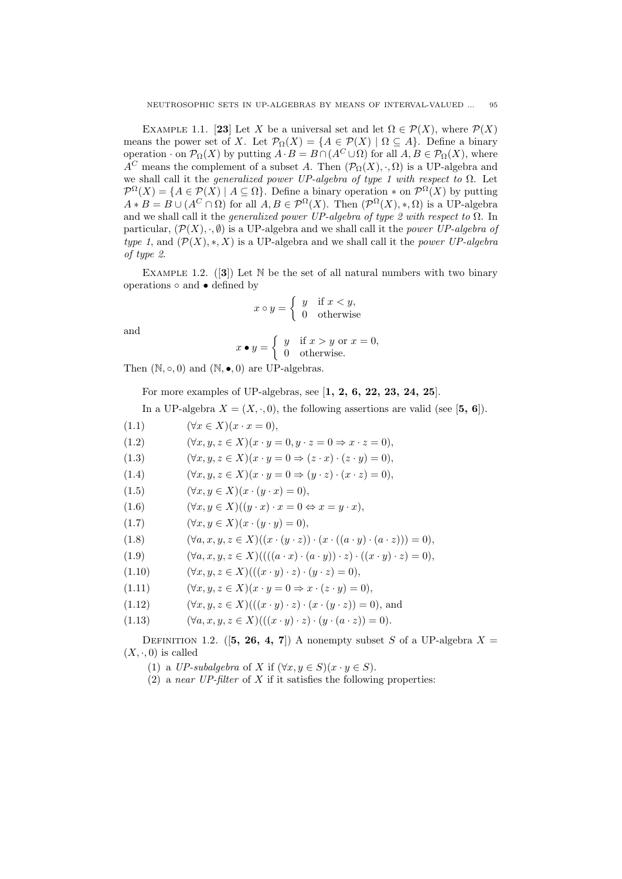EXAMPLE 1.1. [23] Let *X* be a universal set and let  $\Omega \in \mathcal{P}(X)$ , where  $\mathcal{P}(X)$ means the power set of *X*. Let  $\mathcal{P}_{\Omega}(X) = \{A \in \mathcal{P}(X) \mid \Omega \subseteq A\}$ . Define a binary operation *·* on  $\mathcal{P}_{\Omega}(X)$  by putting  $A \cdot B = B \cap (A^C \cup \Omega)$  for all  $A, B \in \mathcal{P}_{\Omega}(X)$ , where *A*<sup>*C*</sup> means the complement of a subset *A*. Then  $(\mathcal{P}_O(X), \cdot, \Omega)$  is a UP-algebra and we shall call it the *generalized power UP-algebra of type 1 with respect to* Ω. Let  $\mathcal{P}^{\Omega}(X) = \{A \in \mathcal{P}(X) \mid A \subseteq \Omega\}$ . Define a binary operation  $*$  on  $\mathcal{P}^{\Omega}(X)$  by putting  $A * B = B \cup (A^C \cap \Omega)$  for all  $A, B \in \mathcal{P}^{\Omega}(X)$ . Then  $(\mathcal{P}^{\Omega}(X), *, \Omega)$  is a UP-algebra and we shall call it the *generalized power UP-algebra of type 2 with respect to* Ω. In particular,  $(\mathcal{P}(X), \cdot, \emptyset)$  is a UP-algebra and we shall call it the *power UP-algebra of type 1,* and  $(\mathcal{P}(X), *, X)$  is a UP-algebra and we shall call it the *power UP-algebra of type 2*.

EXAMPLE 1.2.  $([3])$  Let N be the set of all natural numbers with two binary operations *◦* and *•* defined by

$$
x \circ y = \begin{cases} y & \text{if } x < y, \\ 0 & \text{otherwise} \end{cases}
$$

and

$$
x \bullet y = \begin{cases} y & \text{if } x > y \text{ or } x = 0, \\ 0 & \text{otherwise.} \end{cases}
$$

Then  $(N, \circ, 0)$  and  $(N, \bullet, 0)$  are UP-algebras.

For more examples of UP-algebras, see [**1, 2, 6, 22, 23, 24, 25**].

In a UP-algebra  $X = (X, \cdot, 0)$ , the following assertions are valid (see [5, 6]).

(1.1)  $(\forall x \in X)(x \cdot x = 0),$ 

(1.2)  $(\forall x, y, z \in X)(x \cdot y = 0, y \cdot z = 0 \Rightarrow x \cdot z = 0)$ ,

(1.3)  $(\forall x, y, z \in X)(x \cdot y = 0 \Rightarrow (z \cdot x) \cdot (z \cdot y) = 0),$ 

(1.4)  $(\forall x, y, z \in X)(x \cdot y = 0 \Rightarrow (y \cdot z) \cdot (x \cdot z) = 0),$ 

(1.5)  $(\forall x, y \in X)(x \cdot (y \cdot x) = 0),$ 

(1.6)  $(\forall x, y \in X)((y \cdot x) \cdot x = 0 \Leftrightarrow x = y \cdot x),$ 

- (1.7)  $(\forall x, y \in X)(x \cdot (y \cdot y) = 0),$
- (1.8)  $(\forall a, x, y, z \in X)((x \cdot (y \cdot z)) \cdot (x \cdot ((a \cdot y) \cdot (a \cdot z))) = 0),$

(1.9) 
$$
(\forall a, x, y, z \in X) (((a \cdot x) \cdot (a \cdot y)) \cdot z) \cdot ((x \cdot y) \cdot z) = 0),
$$

- (1.10)  $(\forall x, y, z \in X)(( (x \cdot y) \cdot z) \cdot (y \cdot z) = 0),$
- (1.11)  $(\forall x, y, z \in X)(x \cdot y = 0 \Rightarrow x \cdot (z \cdot y) = 0),$
- (1.12)  $(\forall x, y, z \in X)(( (x \cdot y) \cdot z) \cdot (x \cdot (y \cdot z)) = 0),$  and
- (1.13)  $(\forall a, x, y, z \in X)((((x \cdot y) \cdot z) \cdot (y \cdot (a \cdot z)) = 0).$

DEFINITION 1.2. ([5, 26, 4, 7]) A nonempty subset *S* of a UP-algebra  $X =$  $(X, \cdot, 0)$  is called

- (1) a *UP-subalgebra* of *X* if  $(\forall x, y \in S)(x \cdot y \in S)$ .
- (2) a *near UP-filter* of *X* if it satisfies the following properties: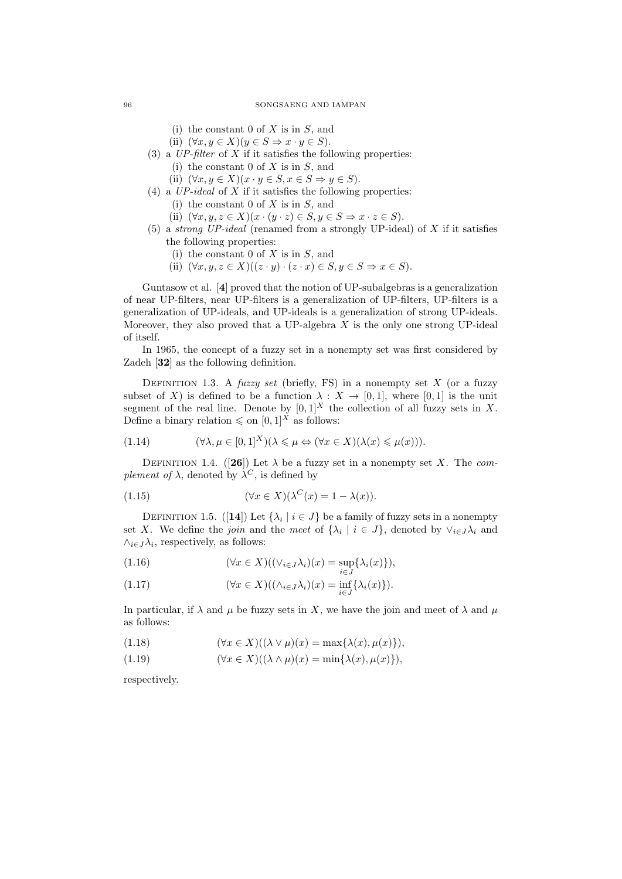### 96 SONGSAENG AND IAMPAN

(i) the constant 0 of *X* is in *S*, and

- (ii)  $(\forall x, y \in X)(y \in S \Rightarrow x \cdot y \in S)$ .
- (3) a *UP-filter* of *X* if it satisfies the following properties:
	- (i) the constant 0 of *X* is in *S*, and
	- (ii)  $(\forall x, y \in X)(x \cdot y \in S, x \in S \Rightarrow y \in S)$ .
- (4) a *UP-ideal* of *X* if it satisfies the following properties:
	- (i) the constant 0 of *X* is in *S*, and
	- (ii)  $(\forall x, y, z \in X)(x \cdot (y \cdot z) \in S, y \in S \Rightarrow x \cdot z \in S).$
- (5) a *strong UP-ideal* (renamed from a strongly UP-ideal) of *X* if it satisfies the following properties:
	- (i) the constant 0 of *X* is in *S*, and
	- (ii)  $(\forall x, y, z \in X)((z \cdot y) \cdot (z \cdot x) \in S, y \in S \Rightarrow x \in S).$

Guntasow et al. [**4**] proved that the notion of UP-subalgebras is a generalization of near UP-filters, near UP-filters is a generalization of UP-filters, UP-filters is a generalization of UP-ideals, and UP-ideals is a generalization of strong UP-ideals. Moreover, they also proved that a UP-algebra *X* is the only one strong UP-ideal of itself.

In 1965, the concept of a fuzzy set in a nonempty set was first considered by Zadeh [**32**] as the following definition.

Definition 1.3. A *fuzzy set* (briefly, FS) in a nonempty set *X* (or a fuzzy subset of *X*) is defined to be a function  $\lambda : X \to [0,1]$ , where  $[0,1]$  is the unit segment of the real line. Denote by  $[0,1]^X$  the collection of all fuzzy sets in X. Define a binary relation  $\leq$  on  $[0, 1]$ <sup>X</sup> as follows:

(1.14) 
$$
(\forall \lambda, \mu \in [0,1]^X)(\lambda \leq \mu \Leftrightarrow (\forall x \in X)(\lambda(x) \leq \mu(x))).
$$

DEFINITION 1.4. ([26]) Let  $\lambda$  be a fuzzy set in a nonempty set *X*. The *complement of*  $\lambda$ , denoted by  $\lambda^C$ , is defined by

(1.15) 
$$
(\forall x \in X)(\lambda^C(x) = 1 - \lambda(x)).
$$

DEFINITION 1.5. ([14]) Let  $\{\lambda_i \mid i \in J\}$  be a family of fuzzy sets in a nonempty set *X*. We define the *join* and the *meet* of  $\{\lambda_i \mid i \in J\}$ , denoted by  $\vee_{i \in J} \lambda_i$  and  $\wedge_{i \in J} \lambda_i$ , respectively, as follows:

(1.16) 
$$
(\forall x \in X)((\vee_{i \in J}\lambda_i)(x) = \sup_{i \in J}\{\lambda_i(x)\}),
$$

(1.17) 
$$
(\forall x \in X)((\wedge_{i \in J}\lambda_i)(x) = \inf_{i \in J}\{\lambda_i(x)\}).
$$

In particular, if  $\lambda$  and  $\mu$  be fuzzy sets in *X*, we have the join and meet of  $\lambda$  and  $\mu$ as follows:

(1.18) 
$$
(\forall x \in X)((\lambda \vee \mu)(x) = \max{\lambda(x), \mu(x)}),
$$

(1.19) 
$$
(\forall x \in X)((\lambda \wedge \mu)(x) = \min\{\lambda(x), \mu(x)\})
$$

respectively.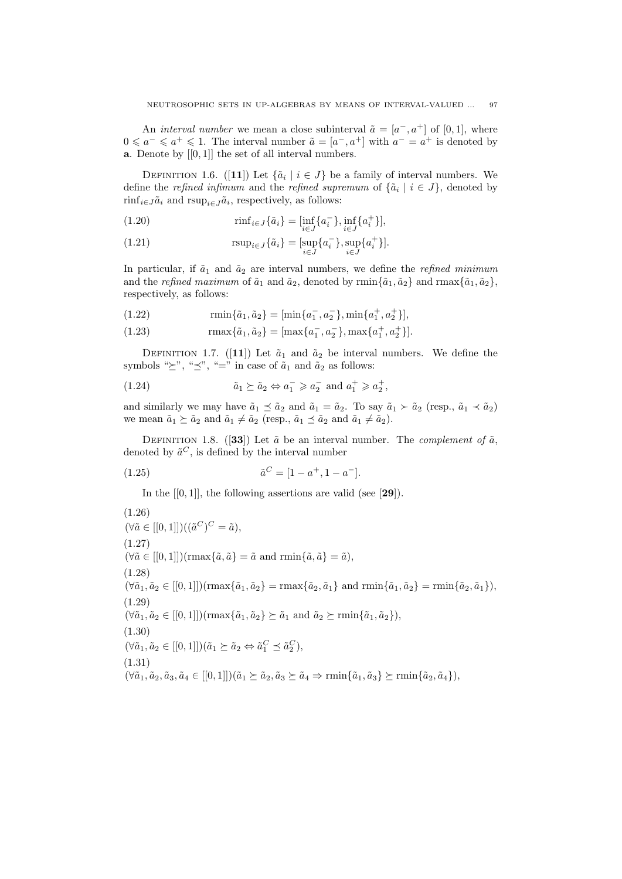An *interval number* we mean a close subinterval  $\tilde{a} = [a^-, a^+]$  of [0,1], where 0 ≤  $a^-$  ≤  $a^+$  ≤ 1. The interval number  $\tilde{a} = [a^-, a^+]$  with  $a^- = a^+$  is denoted by **a**. Denote by [[0*,* 1]] the set of all interval numbers.

DEFINITION 1.6. ([11]) Let  $\{\tilde{a}_i \mid i \in J\}$  be a family of interval numbers. We define the *refined infimum* and the *refined supremum* of  $\{\tilde{a}_i \mid i \in J\}$ , denoted by  $\min_{i \in J} \tilde{a}_i$  and  $\text{rsup}_{i \in J} \tilde{a}_i$ , respectively, as follows:

(1.20) 
$$
\min_{i \in J} \{ \tilde{a}_i \} = \left[ \inf_{i \in J} \{ a_i^- \}, \inf_{i \in J} \{ a_i^+ \} \right],
$$

(1.21) 
$$
r \sup_{i \in J} \{ \tilde{a}_i \} = \left[ \sup_{i \in J} \{ a_i^- \}, \sup_{i \in J} \{ a_i^+ \} \right].
$$

In particular, if  $\tilde{a}_1$  and  $\tilde{a}_2$  are interval numbers, we define the *refined minimum* and the *refined maximum* of  $\tilde{a}_1$  and  $\tilde{a}_2$ , denoted by rmin $\{\tilde{a}_1, \tilde{a}_2\}$  and rmax $\{\tilde{a}_1, \tilde{a}_2\}$ , respectively, as follows:

(1.22) 
$$
\text{rmin}\{\tilde{a}_1, \tilde{a}_2\} = [\text{min}\{a_1^-, a_2^-\}, \text{min}\{a_1^+, a_2^+\}],
$$

(1.23) 
$$
\text{rmax}\{\tilde{a}_1, \tilde{a}_2\} = [\text{max}\{a_1^-, a_2^-\}, \text{max}\{a_1^+, a_2^+\}].
$$

DEFINITION 1.7. ([11]) Let  $\tilde{a}_1$  and  $\tilde{a}_2$  be interval numbers. We define the symbols " $\succeq$ ", " $\preceq$ ", "=" in case of  $\tilde{a}_1$  and  $\tilde{a}_2$  as follows:

(1.24) 
$$
\tilde{a}_1 \succeq \tilde{a}_2 \Leftrightarrow a_1^- \geq a_2^- \text{ and } a_1^+ \geq a_2^+,
$$

and similarly we may have  $\tilde{a}_1 \preceq \tilde{a}_2$  and  $\tilde{a}_1 = \tilde{a}_2$ . To say  $\tilde{a}_1 \succ \tilde{a}_2$  (resp.,  $\tilde{a}_1 \prec \tilde{a}_2$ ) we mean  $\tilde{a}_1 \succeq \tilde{a}_2$  and  $\tilde{a}_1 \neq \tilde{a}_2$  (resp.,  $\tilde{a}_1 \preceq \tilde{a}_2$  and  $\tilde{a}_1 \neq \tilde{a}_2$ ).

DEFINITION 1.8. ([33]) Let  $\tilde{a}$  be an interval number. The *complement of*  $\tilde{a}$ , denoted by  $\tilde{a}^C$ , is defined by the interval number

(1.25) 
$$
\tilde{a}^C = [1 - a^+, 1 - a^-].
$$

In the [[0*,* 1]], the following assertions are valid (see [**29**]).

 $(\forall \tilde{a} \in [[0,1]])((\tilde{a}^C)^C = \tilde{a}),$ (1.26)  $(\forall \tilde{a} \in [[0,1]])(\text{rmax}\{\tilde{a}, \tilde{a}\}) = \tilde{a} \text{ and } \text{rmin}\{\tilde{a}, \tilde{a}\} = \tilde{a}),$  $(1.27)$  $(\forall \tilde{a}_1, \tilde{a}_2 \in [[0,1]])$ (rmax $\{\tilde{a}_1, \tilde{a}_2\} = \max\{\tilde{a}_2, \tilde{a}_1\}$  and  $\min\{\tilde{a}_1, \tilde{a}_2\} = \min\{\tilde{a}_2, \tilde{a}_1\},$ (1.28)  $(\forall \tilde{a}_1, \tilde{a}_2 \in [[0, 1]])(\text{rmax}\{\tilde{a}_1, \tilde{a}_2\} \succeq \tilde{a}_1 \text{ and } \tilde{a}_2 \succeq \text{rmin}\{\tilde{a}_1, \tilde{a}_2\}),$  $(1.29)$  $(\forall \tilde{a}_1, \tilde{a}_2 \in [[0,1]])(\tilde{a}_1 \succeq \tilde{a}_2 \Leftrightarrow \tilde{a}_1^C \preceq \tilde{a}_2^C),$ (1.30)  $(\forall \tilde{a}_1, \tilde{a}_2, \tilde{a}_3, \tilde{a}_4 \in [[0,1]])(\tilde{a}_1 \succeq \tilde{a}_2, \tilde{a}_3 \succeq \tilde{a}_4 \Rightarrow \min{\{\tilde{a}_1, \tilde{a}_3\}} \succeq \min{\{\tilde{a}_2, \tilde{a}_4\}},$ (1.31)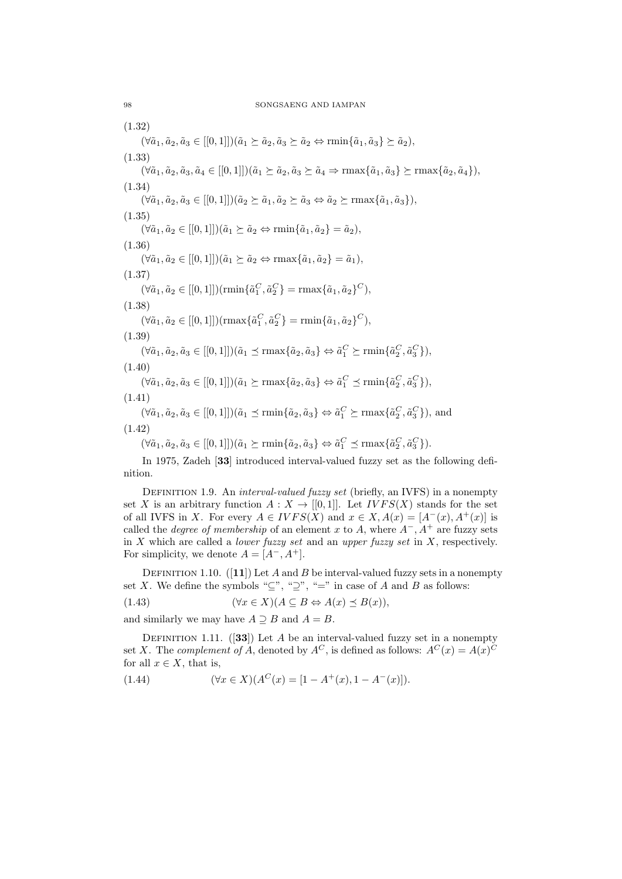$(\forall \tilde{a}_1, \tilde{a}_2, \tilde{a}_3 \in [[0,1]]) (\tilde{a}_1 \succeq \tilde{a}_2, \tilde{a}_3 \succeq \tilde{a}_2 \Leftrightarrow \min\{\tilde{a}_1, \tilde{a}_3\} \succeq \tilde{a}_2),$ (1.32)  $(\forall \tilde{a}_1, \tilde{a}_2, \tilde{a}_3, \tilde{a}_4 \in [[0,1]])(\tilde{a}_1 \succeq \tilde{a}_2, \tilde{a}_3 \succeq \tilde{a}_4 \Rightarrow \text{rmax}\{\tilde{a}_1, \tilde{a}_3\} \succeq \text{rmax}\{\tilde{a}_2, \tilde{a}_4\}),$ (1.33)  $(\forall \tilde{a}_1, \tilde{a}_2, \tilde{a}_3 \in [[0,1]])(\tilde{a}_2 \succeq \tilde{a}_1, \tilde{a}_2 \succeq \tilde{a}_3 \Leftrightarrow \tilde{a}_2 \succeq \text{rmax}\{\tilde{a}_1, \tilde{a}_3\}),$ (1.34)  $(\forall \tilde{a}_1, \tilde{a}_2 \in [[0,1]])(\tilde{a}_1 \succeq \tilde{a}_2 \Leftrightarrow \text{rmin}\{\tilde{a}_1, \tilde{a}_2\} = \tilde{a}_2),$ (1.35)  $(\forall \tilde{a}_1, \tilde{a}_2 \in [[0,1]])(\tilde{a}_1 \succeq \tilde{a}_2 \Leftrightarrow \text{rmax}\{\tilde{a}_1, \tilde{a}_2\} = \tilde{a}_1),$ (1.36)  $(\forall \tilde{a}_1, \tilde{a}_2 \in [[0, 1]])(\text{rmin}\{\tilde{a}_1^C, \tilde{a}_2^C\} = \text{rmax}\{\tilde{a}_1, \tilde{a}_2\}^C),$  $(1.37)$  $(\forall \tilde{a}_1, \tilde{a}_2 \in [[0, 1]])$ (rmax $\{\tilde{a}_1^C, \tilde{a}_2^C\} = \text{rmin}\{\tilde{a}_1, \tilde{a}_2\}^C$ ), (1.38)  $(\forall \tilde{a}_1, \tilde{a}_2, \tilde{a}_3 \in [[0,1]])(\tilde{a}_1 \preceq \max{\{\tilde{a}_2, \tilde{a}_3\}} \Leftrightarrow \tilde{a}_1^C \succeq \min{\{\tilde{a}_2^C, \tilde{a}_3^C\}},$ (1.39)  $(\forall \tilde{a}_1, \tilde{a}_2, \tilde{a}_3 \in [[0,1]])(\tilde{a}_1 \succeq \max{\{\tilde{a}_2, \tilde{a}_3\}} \Leftrightarrow \tilde{a}_1^C \preceq \min{\{\tilde{a}_2^C, \tilde{a}_3^C\}},$ (1.40)  $(\forall \tilde{a}_1, \tilde{a}_2, \tilde{a}_3 \in [[0,1]])(\tilde{a}_1 \preceq \min{\{\tilde{a}_2, \tilde{a}_3\}} \Leftrightarrow \tilde{a}_1^C \succeq \max{\{\tilde{a}_2^C, \tilde{a}_3^C\}}),$  and (1.41)  $(\forall \tilde{a}_1, \tilde{a}_2, \tilde{a}_3 \in [[0,1]])(\tilde{a}_1 \succeq \min{\{\tilde{a}_2, \tilde{a}_3\}} \Leftrightarrow \tilde{a}_1^C \preceq \max{\{\tilde{a}_2^C, \tilde{a}_3^C\}}).$ (1.42)

In 1975, Zadeh [**33**] introduced interval-valued fuzzy set as the following definition.

Definition 1.9. An *interval-valued fuzzy set* (briefly, an IVFS) in a nonempty set *X* is an arbitrary function  $A: X \to [[0,1]]$ . Let  $IVFS(X)$  stands for the set of all IVFS in *X*. For every  $A \in IVFS(X)$  and  $x \in X$ ,  $A(x) = [A^-(x), A^+(x)]$  is called the *degree of membership* of an element *x* to *A*, where  $A^-$ ,  $A^+$  are fuzzy sets in *X* which are called a *lower fuzzy set* and an *upper fuzzy set* in *X*, respectively. For simplicity, we denote  $A = [A^-, A^+]$ .

DEFINITION 1.10.  $([11])$  Let *A* and *B* be interval-valued fuzzy sets in a nonempty set *X*. We define the symbols " $\subseteq$ ", " $\supseteq$ ", "=" in case of *A* and *B* as follows:

(1.43)  $(\forall x \in X)(A \subseteq B \Leftrightarrow A(x) \preceq B(x)),$ 

and similarly we may have  $A \supseteq B$  and  $A = B$ .

DEFINITION 1.11. (**33**) Let *A* be an interval-valued fuzzy set in a nonempty set *X*. The *complement of A*, denoted by  $A^C$ , is defined as follows:  $A^C(x) = A(x)^C$ for all  $x \in X$ , that is,

(1.44) 
$$
(\forall x \in X)(A^C(x) = [1 - A^+(x), 1 - A^-(x)]).
$$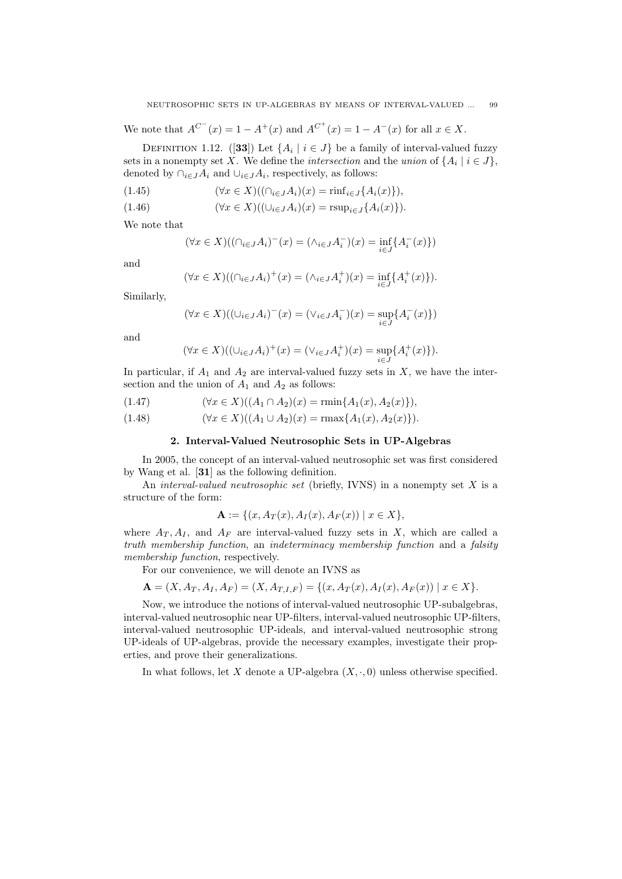We note that  $A^{C^{-}}(x) = 1 - A^{+}(x)$  and  $A^{C^{+}}(x) = 1 - A^{-}(x)$  for all  $x \in X$ .

DEFINITION 1.12. ([33]) Let  $\{A_i \mid i \in J\}$  be a family of interval-valued fuzzy sets in a nonempty set *X*. We define the *intersection* and the *union* of  $\{A_i \mid i \in J\}$ , denoted by  $\bigcap_{i \in J} A_i$  and  $\bigcup_{i \in J} A_i$ , respectively, as follows:

$$
(1.45) \qquad (\forall x \in X)((\cap_{i \in J} A_i)(x) = \text{rinf}_{i \in J} \{A_i(x)\}),
$$

(1.46) 
$$
(\forall x \in X)((\cup_{i \in J} A_i)(x) = \text{rsup}_{i \in J} \{A_i(x)\}).
$$

We note that

$$
(\forall x \in X) ((\cap_{i \in J} A_i)^-(x) = (\wedge_{i \in J} A_i^-)(x) = \inf_{i \in J} \{A_i^-(x)\})
$$

and

$$
(\forall x \in X)((\cap_{i \in J} A_i)^+(x) = (\wedge_{i \in J} A_i^+)(x) = \inf_{i \in J} \{A_i^+(x)\}).
$$

Similarly,

$$
(\forall x \in X)((\cup_{i \in J} A_i)^{-1}(x) = (\vee_{i \in J} A_i^{-1})(x) = \sup_{i \in J} \{A_i^{-1}(x)\})
$$

and

$$
(\forall x \in X)((\cup_{i \in J} A_i)^+(x) = (\vee_{i \in J} A_i^+)(x) = \sup_{i \in J} \{A_i^+(x)\}).
$$

In particular, if  $A_1$  and  $A_2$  are interval-valued fuzzy sets in X, we have the intersection and the union of  $A_1$  and  $A_2$  as follows:

$$
(1.47) \qquad (\forall x \in X)((A_1 \cap A_2)(x) = \min\{A_1(x), A_2(x)\}),
$$

(1.48)  $(\forall x \in X)((A_1 \cup A_2)(x) = \max\{A_1(x), A_2(x)\}).$ 

# **2. Interval-Valued Neutrosophic Sets in UP-Algebras**

In 2005, the concept of an interval-valued neutrosophic set was first considered by Wang et al. [**31**] as the following definition.

An *interval-valued neutrosophic set* (briefly, IVNS) in a nonempty set *X* is a structure of the form:

$$
\mathbf{A} := \{ (x, A_T(x), A_I(x), A_F(x)) \mid x \in X \},\
$$

where  $A_T$ ,  $A_I$ , and  $A_F$  are interval-valued fuzzy sets in X, which are called a *truth membership function*, an *indeterminacy membership function* and a *falsity membership function*, respectively.

For our convenience, we will denote an IVNS as

$$
\mathbf{A} = (X, A_T, A_I, A_F) = (X, A_{T,I,F}) = \{(x, A_T(x), A_I(x), A_F(x)) \mid x \in X\}.
$$

Now, we introduce the notions of interval-valued neutrosophic UP-subalgebras, interval-valued neutrosophic near UP-filters, interval-valued neutrosophic UP-filters, interval-valued neutrosophic UP-ideals, and interval-valued neutrosophic strong UP-ideals of UP-algebras, provide the necessary examples, investigate their properties, and prove their generalizations.

In what follows, let *X* denote a UP-algebra  $(X, \cdot, 0)$  unless otherwise specified.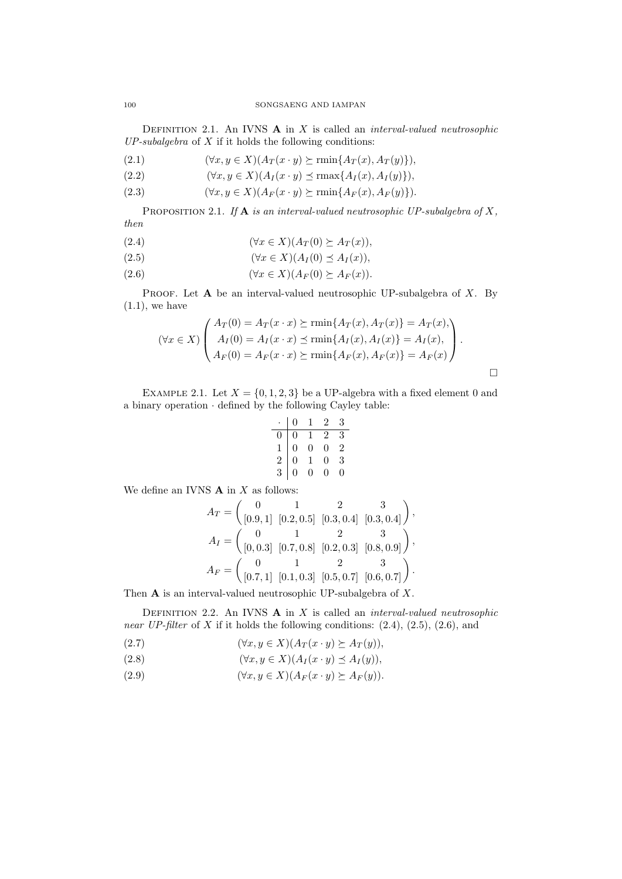Definition 2.1. An IVNS **A** in *X* is called an *interval-valued neutrosophic UP-subalgebra* of *X* if it holds the following conditions:

(2.1)  $(\forall x, y \in X) (A_T(x \cdot y) \succeq \min\{A_T(x), A_T(y)\}),$ 

$$
(2.2) \qquad (\forall x, y \in X)(A_I(x \cdot y) \preceq \max\{A_I(x), A_I(y)\}),
$$

(2.3)  $(\forall x, y \in X) (A_F(x \cdot y) \succeq \min\{A_F(x), A_F(y)\}).$ 

Proposition 2.1. *If* **A** *is an interval-valued neutrosophic UP-subalgebra of X, then*

$$
(2.4) \qquad (\forall x \in X)(A_T(0) \succeq A_T(x)),
$$

$$
(2.5) \qquad (\forall x \in X)(A_I(0) \preceq A_I(x)),
$$

$$
(2.6) \qquad (\forall x \in X)(A_F(0) \succeq A_F(x)).
$$

Proof. Let **A** be an interval-valued neutrosophic UP-subalgebra of *X*. By  $(1.1)$ , we have

$$
(\forall x \in X) \begin{pmatrix} A_T(0) = A_T(x \cdot x) \succeq \min\{A_T(x), A_T(x)\} = A_T(x), \\ A_I(0) = A_I(x \cdot x) \preceq \min\{A_I(x), A_I(x)\} = A_I(x), \\ A_F(0) = A_F(x \cdot x) \succeq \min\{A_F(x), A_F(x)\} = A_F(x) \end{pmatrix}.
$$

EXAMPLE 2.1. Let  $X = \{0, 1, 2, 3\}$  be a UP-algebra with a fixed element 0 and a binary operation *·* defined by the following Cayley table:

$$
\begin{array}{c|cccc}\n\cdot & 0 & 1 & 2 & 3 \\
\hline\n0 & 0 & 1 & 2 & 3 \\
1 & 0 & 0 & 0 & 2 \\
2 & 0 & 1 & 0 & 3 \\
3 & 0 & 0 & 0 & 0\n\end{array}
$$

We define an IVNS **A** in *X* as follows:

$$
A_T = \begin{pmatrix} 0 & 1 & 2 & 3 \\ [0.9,1] & [0.2,0.5] & [0.3,0.4] & [0.3,0.4] \end{pmatrix},
$$
  
\n
$$
A_I = \begin{pmatrix} 0 & 1 & 2 & 3 \\ [0,0.3] & [0.7,0.8] & [0.2,0.3] & [0.8,0.9] \end{pmatrix},
$$
  
\n
$$
A_F = \begin{pmatrix} 0 & 1 & 2 & 3 \\ [0.7,1] & [0.1,0.3] & [0.5,0.7] & [0.6,0.7] \end{pmatrix}.
$$

Then **A** is an interval-valued neutrosophic UP-subalgebra of *X*.

Definition 2.2. An IVNS **A** in *X* is called an *interval-valued neutrosophic near UP-filter* of *X* if it holds the following conditions: (2.4), (2.5), (2.6), and

(2.7) 
$$
(\forall x, y \in X)(A_T(x \cdot y) \succeq A_T(y)),
$$

(2.8) 
$$
(\forall x, y \in X)(A_I(x \cdot y) \preceq A_I(y)),
$$

(2.9)  $(\forall x, y \in X) (A_F(x \cdot y) \succ A_F(y)).$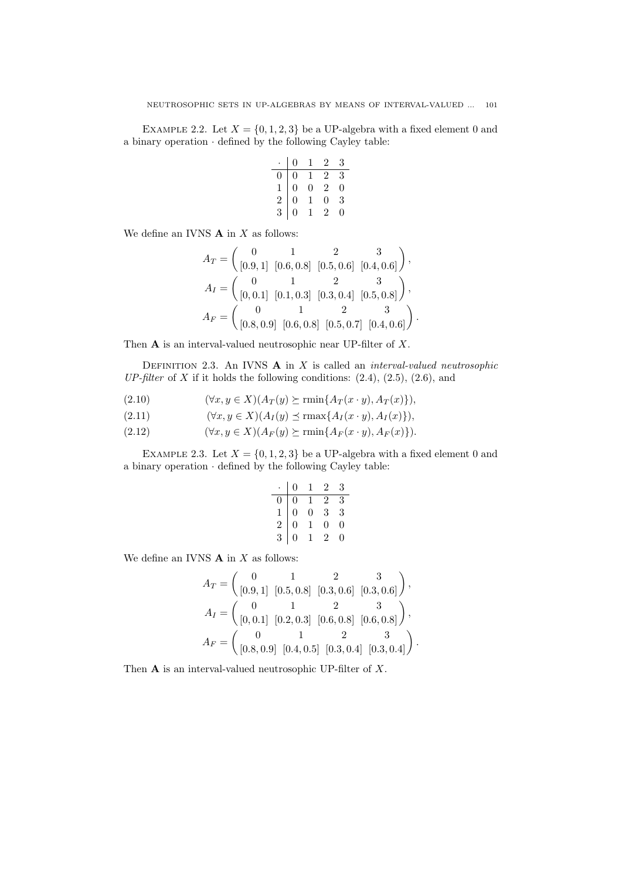EXAMPLE 2.2. Let  $X = \{0, 1, 2, 3\}$  be a UP-algebra with a fixed element 0 and a binary operation *·* defined by the following Cayley table:

|               | 0                                          | L              | $\overline{2}$ | 3 |
|---------------|--------------------------------------------|----------------|----------------|---|
|               | $\boldsymbol{0}$                           | 1              | $\overline{2}$ | 3 |
|               |                                            | $\overline{0}$ | $\overline{2}$ | 0 |
| $\frac{1}{2}$ | $\begin{array}{c} 0 \\ 0 \\ 0 \end{array}$ | $\overline{1}$ | 0              | 3 |
|               |                                            |                | ソ.             |   |

We define an IVNS **A** in *X* as follows:

$$
A_T = \begin{pmatrix} 0 & 1 & 2 & 3 \\ [0.9, 1] & [0.6, 0.8] & [0.5, 0.6] & [0.4, 0.6] \end{pmatrix},
$$
  
\n
$$
A_I = \begin{pmatrix} 0 & 1 & 2 & 3 \\ [0, 0.1] & [0.1, 0.3] & [0.3, 0.4] & [0.5, 0.8] \end{pmatrix},
$$
  
\n
$$
A_F = \begin{pmatrix} 0 & 1 & 2 & 3 \\ [0.8, 0.9] & [0.6, 0.8] & [0.5, 0.7] & [0.4, 0.6] \end{pmatrix}.
$$

Then **A** is an interval-valued neutrosophic near UP-filter of *X*.

Definition 2.3. An IVNS **A** in *X* is called an *interval-valued neutrosophic UP-filter* of  $X$  if it holds the following conditions:  $(2.4)$ ,  $(2.5)$ ,  $(2.6)$ , and

(2.10)  $(\forall x, y \in X) (A_T(y) \succeq \min\{A_T(x \cdot y), A_T(x)\}),$ 

$$
(2.11) \qquad (\forall x, y \in X)(A_I(y) \preceq \max\{A_I(x \cdot y), A_I(x)\}),
$$

(2.12)  $(\forall x, y \in X) (A_F(y) \succeq \min\{A_F(x \cdot y), A_F(x)\}).$ 

EXAMPLE 2.3. Let  $X = \{0, 1, 2, 3\}$  be a UP-algebra with a fixed element 0 and a binary operation *·* defined by the following Cayley table:

|                                               | 0                                               | 1              | 2              | 3 |
|-----------------------------------------------|-------------------------------------------------|----------------|----------------|---|
|                                               |                                                 |                | $\overline{2}$ | 3 |
| $\begin{smallmatrix}0\1\2\3\end{smallmatrix}$ | $\begin{array}{c} 0 \\ 0 \\ 0 \\ 0 \end{array}$ | $\frac{1}{0}$  | 3              | 3 |
|                                               |                                                 | $\overline{1}$ | 0              | 0 |
|                                               |                                                 |                | $\overline{2}$ | 0 |

We define an IVNS **A** in *X* as follows:

$$
A_T = \begin{pmatrix} 0 & 1 & 2 & 3 \\ [0.9, 1] & [0.5, 0.8] & [0.3, 0.6] & [0.3, 0.6] \end{pmatrix},
$$
  
\n
$$
A_I = \begin{pmatrix} 0 & 1 & 2 & 3 \\ [0, 0.1] & [0.2, 0.3] & [0.6, 0.8] & [0.6, 0.8] \end{pmatrix},
$$
  
\n
$$
A_F = \begin{pmatrix} 0 & 1 & 2 & 3 \\ [0.8, 0.9] & [0.4, 0.5] & [0.3, 0.4] & [0.3, 0.4] \end{pmatrix}.
$$

Then **A** is an interval-valued neutrosophic UP-filter of *X*.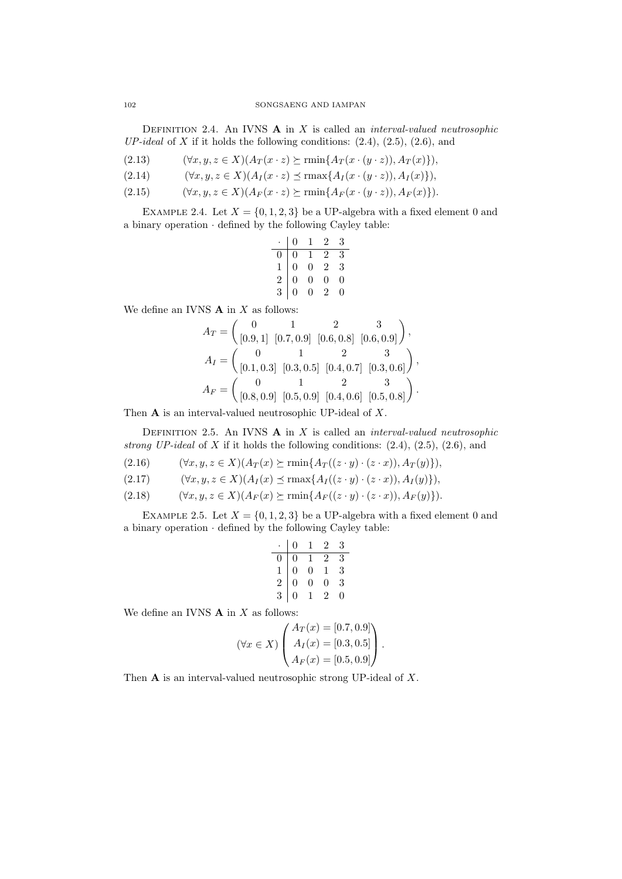Definition 2.4. An IVNS **A** in *X* is called an *interval-valued neutrosophic UP-ideal* of *X* if it holds the following conditions: (2.4), (2.5), (2.6), and

- (2.13)  $(\forall x, y, z \in X) (A_T(x \cdot z) \succeq \min\{A_T(x \cdot (y \cdot z)), A_T(x)\}),$
- (2.14)  $(\forall x, y, z \in X) (A_I(x \cdot z) \preceq \max\{A_I(x \cdot (y \cdot z)), A_I(x)\}),$
- (2.15)  $(\forall x, y, z \in X) (A_F(x \cdot z) \succeq \min\{A_F(x \cdot (y \cdot z)), A_F(x)\}).$

EXAMPLE 2.4. Let  $X = \{0, 1, 2, 3\}$  be a UP-algebra with a fixed element 0 and a binary operation *·* defined by the following Cayley table:

|               | 0                                               | $\mathbf{1}$                                    | 2              | 3 |
|---------------|-------------------------------------------------|-------------------------------------------------|----------------|---|
| 0             |                                                 |                                                 | $\overline{2}$ | 3 |
| $\frac{1}{2}$ | $\begin{array}{c} 0 \\ 0 \\ 0 \\ 0 \end{array}$ | $\begin{array}{c} 1 \\ 0 \\ 0 \\ 0 \end{array}$ | $\overline{2}$ | 3 |
|               |                                                 |                                                 | $\overline{0}$ | 0 |
|               |                                                 |                                                 | 2              |   |

We define an IVNS **A** in *X* as follows:

$$
A_T = \begin{pmatrix} 0 & 1 & 2 & 3 \\ [0.9, 1] & [0.7, 0.9] & [0.6, 0.8] & [0.6, 0.9] \end{pmatrix},
$$
  
\n
$$
A_I = \begin{pmatrix} 0 & 1 & 2 & 3 \\ [0.1, 0.3] & [0.3, 0.5] & [0.4, 0.7] & [0.3, 0.6] \end{pmatrix},
$$
  
\n
$$
A_F = \begin{pmatrix} 0 & 1 & 2 & 3 \\ [0.8, 0.9] & [0.5, 0.9] & [0.4, 0.6] & [0.5, 0.8] \end{pmatrix}.
$$

Then **A** is an interval-valued neutrosophic UP-ideal of *X*.

Definition 2.5. An IVNS **A** in *X* is called an *interval-valued neutrosophic strong UP-ideal* of *X* if it holds the following conditions: (2.4), (2.5), (2.6), and

(2.16)  $(\forall x, y, z \in X) (A_T(x) \succeq \min\{A_T((z \cdot y) \cdot (z \cdot x)), A_T(y)\}),$ 

$$
(2.17) \qquad (\forall x, y, z \in X) (A_I(x) \preceq \max\{A_I((z \cdot y) \cdot (z \cdot x)), A_I(y)\}),
$$

$$
(2.18) \qquad (\forall x, y, z \in X) (A_F(x) \succeq \min\{A_F((z \cdot y) \cdot (z \cdot x)), A_F(y)\}).
$$

EXAMPLE 2.5. Let  $X = \{0, 1, 2, 3\}$  be a UP-algebra with a fixed element 0 and a binary operation *·* defined by the following Cayley table:

|                                            | $\boldsymbol{0}$                          | 1              | 2              | 3             |
|--------------------------------------------|-------------------------------------------|----------------|----------------|---------------|
| $\boldsymbol{0}$                           | $\boldsymbol{0}$                          | $\mathbf{1}$   | $\overline{2}$ | 3             |
| $\begin{array}{c} 1 \\ 2 \\ 3 \end{array}$ | $\begin{matrix} 0 \\ 0 \\ 0 \end{matrix}$ | $\overline{0}$ | $\mathbf{1}$   | $\frac{3}{3}$ |
|                                            |                                           | $\overline{0}$ | 0              |               |
|                                            |                                           | 1              | 2              | 0             |

We define an IVNS **A** in *X* as follows:

$$
(\forall x \in X) \begin{pmatrix} A_T(x) = [0.7, 0.9] \\ A_I(x) = [0.3, 0.5] \\ A_F(x) = [0.5, 0.9] \end{pmatrix}.
$$

Then **A** is an interval-valued neutrosophic strong UP-ideal of *X*.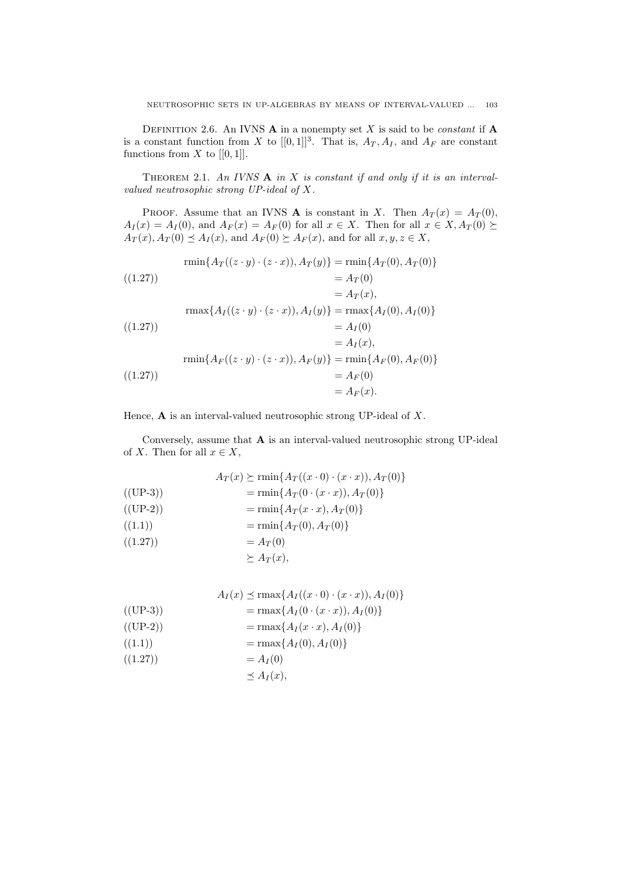DEFINITION 2.6. An IVNS  $\bf{A}$  in a nonempty set  $X$  is said to be *constant* if  $\bf{A}$ is a constant function from *X* to  $[[0,1]]^3$ . That is,  $A_T$ ,  $A_I$ , and  $A_F$  are constant functions from  $X$  to  $[[0,1]].$ 

THEOREM 2.1. An IVNS **A** in X is constant if and only if it is an interval*valued neutrosophic strong UP-ideal of X.*

PROOF. Assume that an IVNS **A** is constant in *X*. Then  $A_T(x) = A_T(0)$ ,  $A_I(x) = A_I(0)$ , and  $A_F(x) = A_F(0)$  for all  $x \in X$ . Then for all  $x \in X, A_T(0) \succeq$  $A_T(x), A_T(0) \leq A_I(x),$  and  $A_F(0) \geq A_F(x),$  and for all  $x, y, z \in X$ ,

$$
\begin{aligned}\n\text{rmin}\{A_T((z \cdot y) \cdot (z \cdot x)), A_T(y)\} &= \text{rmin}\{A_T(0), A_T(0)\} \\
&= A_T(0) \\
&= A_T(x), \\
\text{rmax}\{A_I((z \cdot y) \cdot (z \cdot x)), A_I(y)\} &= \text{rmax}\{A_I(0), A_I(0)\} \\
&\quad (1.27)) \\
&= A_I(0) \\
&= A_I(x), \\
\text{rmin}\{A_F((z \cdot y) \cdot (z \cdot x)), A_F(y)\} &= \text{rmin}\{A_F(0), A_F(0)\} \\
&= A_F(0) \\
&= A_F(x).\n\end{aligned}
$$

Hence, **A** is an interval-valued neutrosophic strong UP-ideal of *X*.

Conversely, assume that **A** is an interval-valued neutrosophic strong UP-ideal of *X*. Then for all  $x \in X$ ,

$$
A_T(x) \succeq \min\{A_T((x \cdot 0) \cdot (x \cdot x)), A_T(0)\}
$$
  
\n((UP-3))  
\n
$$
= \min\{A_T(0 \cdot (x \cdot x)), A_T(0)\}
$$
  
\n
$$
= \min\{A_T(x \cdot x), A_T(0)\}
$$
  
\n((1.1))  
\n
$$
= \min\{A_T(0), A_T(0)\}
$$
  
\n
$$
= A_T(0)
$$
  
\n
$$
\succeq A_T(x),
$$

$$
A_{I}(x) \preceq \max\{A_{I}((x \cdot 0) \cdot (x \cdot x)), A_{I}(0)\}
$$
  
\n((UP-3))  
\n
$$
= \max\{A_{I}(0 \cdot (x \cdot x)), A_{I}(0)\}
$$
  
\n
$$
= \max\{A_{I}(x \cdot x), A_{I}(0)\}
$$
  
\n((1.1))  
\n
$$
= \max\{A_{I}(0), A_{I}(0)\}
$$
  
\n
$$
= A_{I}(0)
$$
  
\n
$$
\preceq A_{I}(x),
$$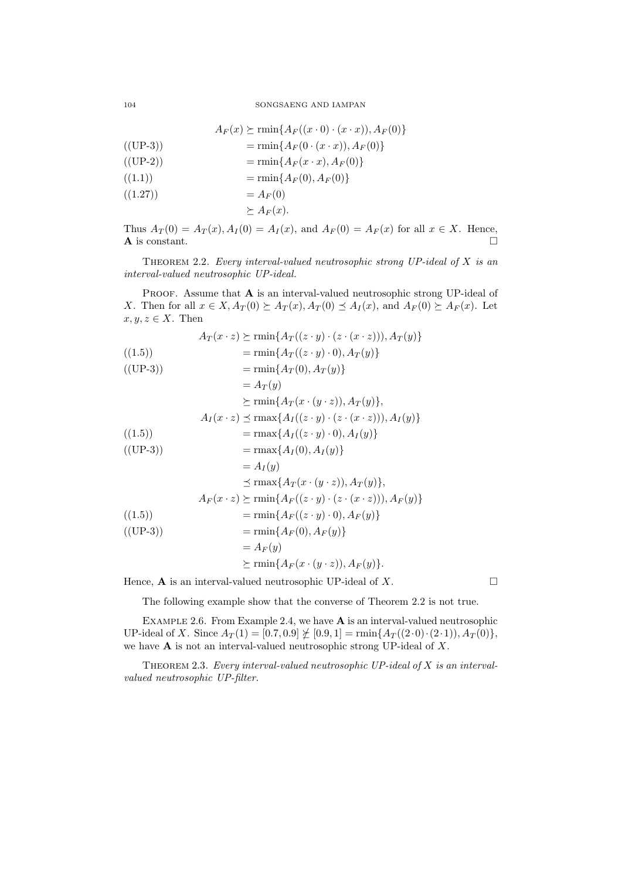104 SONGSAENG AND IAMPAN

$$
A_F(x) \succeq \min\{A_F((x \cdot 0) \cdot (x \cdot x)), A_F(0)\}\
$$

$$
= \min\{A_F(0 \cdot (x \cdot x)), A_F(0)\}\
$$

$$
((UP-2)) \qquad \qquad = \min\{A_F(x \cdot x), A_F(0)\}
$$

$$
= \min\{A_F(0), A_F(0)\}\
$$

$$
= A_F(0)
$$
  

$$
\succeq A_F(x).
$$

Thus  $A_T(0) = A_T(x), A_I(0) = A_I(x),$  and  $A_F(0) = A_F(x)$  for all  $x \in X$ . Hence, **A** is constant.  $\Box$ 

Theorem 2.2. *Every interval-valued neutrosophic strong UP-ideal of X is an interval-valued neutrosophic UP-ideal.*

PROOF. Assume that **A** is an interval-valued neutrosophic strong UP-ideal of X. Then for all  $x \in X$ ,  $A_T(0) \succeq A_T(x)$ ,  $A_T(0) \preceq A_I(x)$ , and  $A_F(0) \succeq A_F(x)$ . Let  $x, y, z \in X$ . Then

(1.5)  
\n
$$
A_T(x \cdot z) \succeq \min\{A_T((z \cdot y) \cdot (z \cdot (x \cdot z))), A_T(y)\}
$$
\n
$$
= \min\{A_T((z \cdot y) \cdot 0), A_T(y)\}
$$
\n
$$
= \min\{A_T(0), A_T(y)\}
$$
\n
$$
= A_T(y)
$$
\n
$$
\succeq \min\{A_T(x \cdot (y \cdot z)), A_T(y)\},
$$
\n
$$
A_I(x \cdot z) \preceq \max\{A_I((z \cdot y) \cdot (z \cdot (x \cdot z))), A_I(y)\}
$$
\n
$$
= \max\{A_I((z \cdot y) \cdot 0), A_I(y)\}
$$
\n
$$
= \max\{A_I(0), A_I(y)\}
$$
\n
$$
= A_I(y)
$$
\n
$$
\preceq \max\{A_T(x \cdot (y \cdot z)), A_T(y)\},
$$
\n
$$
A_F(x \cdot z) \succeq \min\{A_F((z \cdot y) \cdot (z \cdot (x \cdot z))), A_F(y)\}
$$
\n
$$
= \min\{A_F((z \cdot y) \cdot 0), A_F(y)\}
$$
\n
$$
= \min\{A_F(0), A_F(y)\}
$$
\n
$$
= A_F(y)
$$

Hence, **A** is an interval-valued neutrosophic UP-ideal of  $X$ .

The following example show that the converse of Theorem 2.2 is not true.

 $\succeq$  rmin ${A_F(x \cdot (y \cdot z))}, A_F(y)$ .

Example 2.6. From Example 2.4, we have **A** is an interval-valued neutrosophic UP-ideal of *X*. Since  $A_T(1) = [0.7, 0.9] \not\geq [0.9, 1] = \min\{A_T((2 \cdot 0) \cdot (2 \cdot 1)), A_T(0)\},\$ we have **A** is not an interval-valued neutrosophic strong UP-ideal of *X*.

Theorem 2.3. *Every interval-valued neutrosophic UP-ideal of X is an intervalvalued neutrosophic UP-filter.*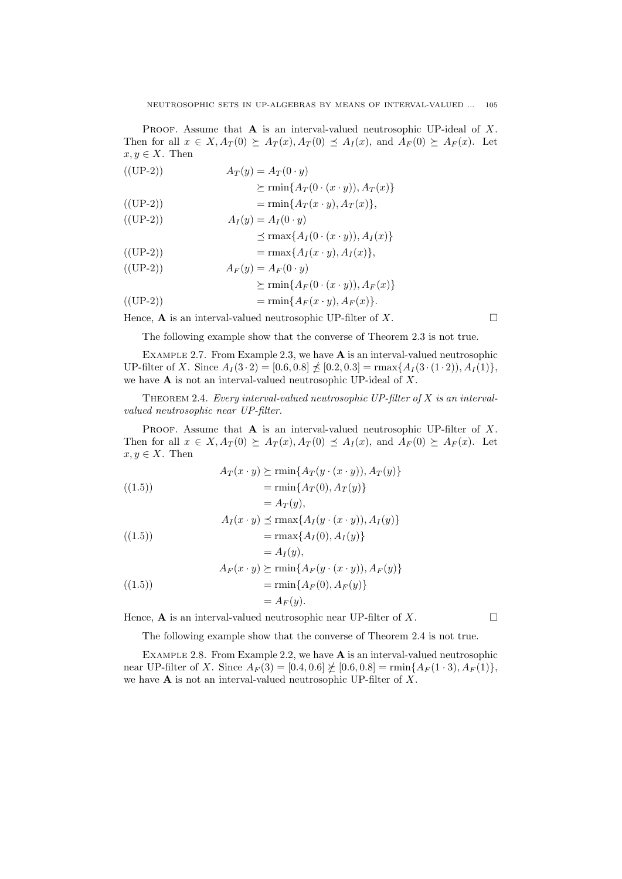Proof. Assume that **A** is an interval-valued neutrosophic UP-ideal of *X*. Then for all  $x \in X$ ,  $A_T(0) \succeq A_T(x)$ ,  $A_T(0) \preceq A_I(x)$ , and  $A_F(0) \succeq A_F(x)$ . Let  $x, y \in X$ . Then

((UP-2)) 
$$
A_T(y) = A_T(0 \cdot y)
$$

$$
\succeq \min\{A_T(0 \cdot (x \cdot y)), A_T(x)\}
$$

$$
((UP-2)) = \min\{A_T(x \cdot y), A_T(x)\},\
$$

$$
A_I(y) = A_I(0 \cdot y)
$$

$$
\leq \max\{A_I(0 \cdot (x \cdot y)), A_I(x)\}
$$
  

$$
= \max\{A_I(x \cdot y), A_I(x)\},\
$$

$$
A_F(y) = A_F(0 \cdot y)
$$

$$
\succeq \min\{A_{F}(0\cdot(x\cdot y)),A_{F}(x)\}
$$

$$
(\text{(UP-2)})\qquad \qquad = \min\{A_F(x \cdot y), A_F(x)\}.
$$

Hence, **A** is an interval-valued neutrosophic UP-filter of *X*.

The following example show that the converse of Theorem 2.3 is not true.

Example 2.7. From Example 2.3, we have **A** is an interval-valued neutrosophic UP-filter of *X*. Since  $A_I(3 \cdot 2) = [0.6, 0.8] \nleq [0.2, 0.3] = \max\{A_I(3 \cdot (1 \cdot 2)), A_I(1)\},\$ we have **A** is not an interval-valued neutrosophic UP-ideal of *X*.

Theorem 2.4. *Every interval-valued neutrosophic UP-filter of X is an intervalvalued neutrosophic near UP-filter.*

PROOF. Assume that **A** is an interval-valued neutrosophic UP-filter of X. Then for all  $x \in X$ ,  $A_T(0) \succeq A_T(x)$ ,  $A_T(0) \preceq A_T(x)$ , and  $A_F(0) \succeq A_F(x)$ . Let  $x, y \in X$ . Then

$$
A_T(x \cdot y) \succeq \min\{A_T(y \cdot (x \cdot y)), A_T(y)\}
$$

$$
= \min\{A_T(0), A_T(y)\}
$$

$$
= A_T(y),
$$
  
\n
$$
A_I(x \cdot y) \preceq \max\{A_I(y \cdot (x \cdot y)), A_I(y)\}
$$
  
\n
$$
= \max\{A_I(0), A_I(y)\}
$$

$$
= A_I(y),
$$
  
\n
$$
A_F(x \cdot y) \succeq \min\{A_F(y \cdot (x \cdot y)), A_F(y)\}
$$
  
\n
$$
= \min\{A_F(0), A_F(y)\}
$$
  
\n
$$
= A_F(y).
$$

Hence,  $\bf{A}$  is an interval-valued neutrosophic near UP-filter of *X*.

The following example show that the converse of Theorem 2.4 is not true.

Example 2.8. From Example 2.2, we have **A** is an interval-valued neutrosophic near UP-filter of *X*. Since  $A_F(3) = [0.4, 0.6] \not\geq [0.6, 0.8] = \min\{A_F(1\cdot 3), A_F(1)\},$ we have **A** is not an interval-valued neutrosophic UP-filter of *X*.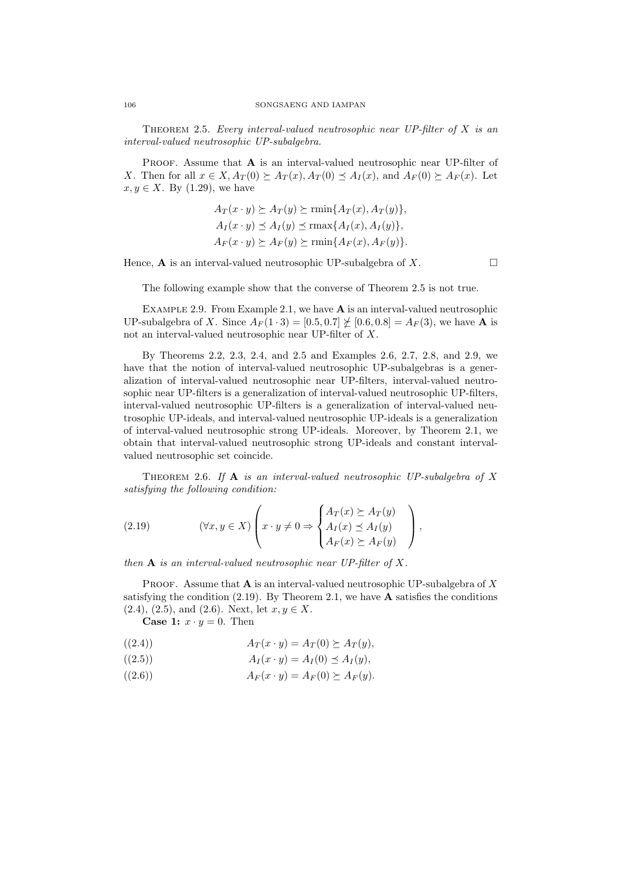Theorem 2.5. *Every interval-valued neutrosophic near UP-filter of X is an interval-valued neutrosophic UP-subalgebra.*

PROOF. Assume that **A** is an interval-valued neutrosophic near UP-filter of X. Then for all  $x \in X$ ,  $A_T(0) \succeq A_T(x)$ ,  $A_T(0) \preceq A_I(x)$ , and  $A_F(0) \succeq A_F(x)$ . Let  $x, y \in X$ . By (1.29), we have

$$
A_T(x \cdot y) \succeq A_T(y) \succeq \min\{A_T(x), A_T(y)\},
$$
  
\n
$$
A_I(x \cdot y) \preceq A_I(y) \preceq \max\{A_I(x), A_I(y)\},
$$
  
\n
$$
A_F(x \cdot y) \succeq A_F(y) \succeq \min\{A_F(x), A_F(y)\}.
$$

Hence, **A** is an interval-valued neutrosophic UP-subalgebra of *X*.

The following example show that the converse of Theorem 2.5 is not true.

Example 2.9. From Example 2.1, we have **A** is an interval-valued neutrosophic UP-subalgebra of *X*. Since  $A_F(1 \cdot 3) = [0.5, 0.7] \not\subseteq [0.6, 0.8] = A_F(3)$ , we have **A** is not an interval-valued neutrosophic near UP-filter of *X*.

By Theorems 2.2, 2.3, 2.4, and 2.5 and Examples 2.6, 2.7, 2.8, and 2.9, we have that the notion of interval-valued neutrosophic UP-subalgebras is a generalization of interval-valued neutrosophic near UP-filters, interval-valued neutrosophic near UP-filters is a generalization of interval-valued neutrosophic UP-filters, interval-valued neutrosophic UP-filters is a generalization of interval-valued neutrosophic UP-ideals, and interval-valued neutrosophic UP-ideals is a generalization of interval-valued neutrosophic strong UP-ideals. Moreover, by Theorem 2.1, we obtain that interval-valued neutrosophic strong UP-ideals and constant intervalvalued neutrosophic set coincide.

Theorem 2.6. *If* **A** *is an interval-valued neutrosophic UP-subalgebra of X satisfying the following condition:*

(2.19) 
$$
(\forall x, y \in X) \left( x \cdot y \neq 0 \Rightarrow \begin{cases} A_T(x) \succeq A_T(y) \\ A_I(x) \leq A_I(y) \\ A_F(x) \succeq A_F(y) \end{cases} \right),
$$

*then* **A** *is an interval-valued neutrosophic near UP-filter of X.*

Proof. Assume that **A** is an interval-valued neutrosophic UP-subalgebra of *X* satisfying the condition (2.19). By Theorem 2.1, we have **A** satisfies the conditions  $(2.4), (2.5), \text{ and } (2.6).$  Next, let  $x, y \in X$ .

**Case 1:**  $x \cdot y = 0$ . Then

$$
A_T(x \cdot y) = A_T(0) \succeq A_T(y)
$$

$$
(2.5) \t\t AI(x \cdot y) = AI(0) \le AI(y),
$$

((2.6))  $A_F(x \cdot y) = A_F(0) \succ A_F(y)$ .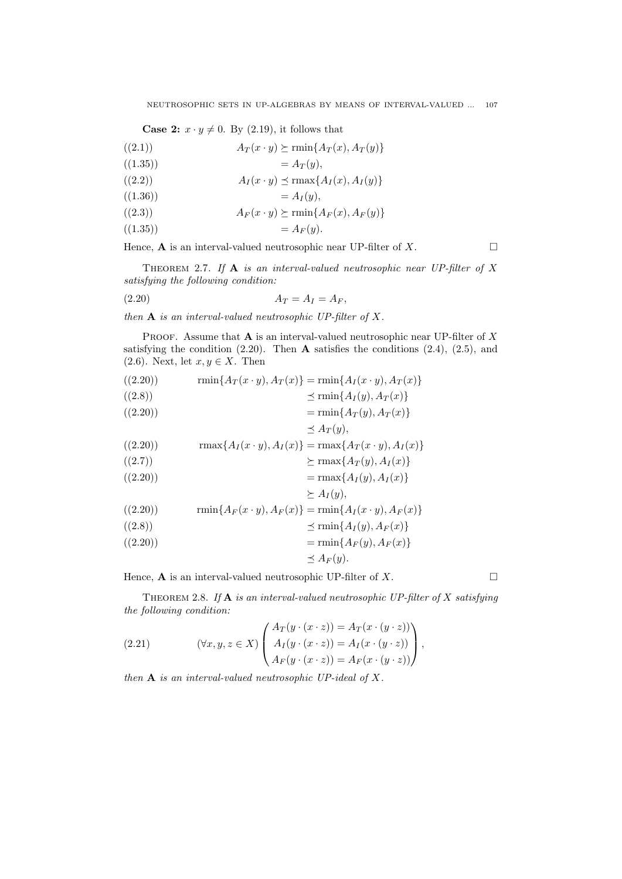**Case 2:**  $x \cdot y \neq 0$ . By (2.19), it follows that

$$
A_T(x \cdot y) \succeq \min\{A_T(x), A_T(y)\}\
$$

$$
((1.35)) \qquad \qquad = A_T(y),
$$

$$
A_I(x \cdot y) \preceq \max\{A_I(x), A_I(y)\}\
$$

$$
((1.36)) \qquad \qquad = A_I(y),
$$

 $(A_F(x \cdot y) \succeq \min\{A_F(x), A_F(y)\}\)$ 

$$
((1.35)) = A_F(y).
$$

Hence, **A** is an interval-valued neutrosophic near UP-filter of  $X$ .

Theorem 2.7. *If* **A** *is an interval-valued neutrosophic near UP-filter of X satisfying the following condition:*

$$
(2.20) \t\t A_T = A_I = A_F,
$$

*then* **A** *is an interval-valued neutrosophic UP-filter of X.*

Proof. Assume that **A** is an interval-valued neutrosophic near UP-filter of *X* satisfying the condition (2.20). Then **A** satisfies the conditions (2.4), (2.5), and (2.6). Next, let  $x, y \in X$ . Then

$$
((2.20)) \qquad \qquad \min\{A_T(x \cdot y), A_T(x)\} = \min\{A_I(x \cdot y), A_T(x)\}
$$

((2.8)) *≼* rmin*{A<sup>I</sup>* (*y*)*, A<sup>T</sup>* (*x*)*}*

$$
= \min\{A_T(y), A_T(x)\}\
$$

$$
\leq A_T(y),
$$

$$
(\text{(2.20)}) \quad \text{rmax}\{A_I(x \cdot y), A_I(x)\} = \text{rmax}\{A_T(x \cdot y), A_I(x)\}\
$$

$$
((2.7)) \qquad \qquad \succeq \max\{A_T(y), A_I(x)\}\
$$

$$
(\text{(2.20)})\qquad \qquad = \text{rmax}\{A_I(y), A_I(x)\}\
$$

$$
\succeq A_I(y),
$$

$$
((2.20)) \qquad \min\{A_F(x \cdot y), A_F(x)\} = \min\{A_I(x \cdot y), A_F(x)\}\
$$

$$
((2.8)) \qquad \times \min\{A_I(y) \mid A_F(x)\}\
$$

$$
= \min\{A_F(y), A_F(x)\}
$$
  

$$
= \min\{A_F(y), A_F(x)\}
$$

$$
(-\lim_{(2,20)})
$$

$$
\preceq A_F(y).
$$

Hence, **A** is an interval-valued neutrosophic UP-filter of  $X$ .

Theorem 2.8. *If* **A** *is an interval-valued neutrosophic UP-filter of X satisfying the following condition:*

(2.21) 
$$
(\forall x, y, z \in X) \begin{pmatrix} A_T(y \cdot (x \cdot z)) = A_T(x \cdot (y \cdot z)) \\ A_I(y \cdot (x \cdot z)) = A_I(x \cdot (y \cdot z)) \\ A_F(y \cdot (x \cdot z)) = A_F(x \cdot (y \cdot z)) \end{pmatrix},
$$

*then* **A** *is an interval-valued neutrosophic UP-ideal of X.*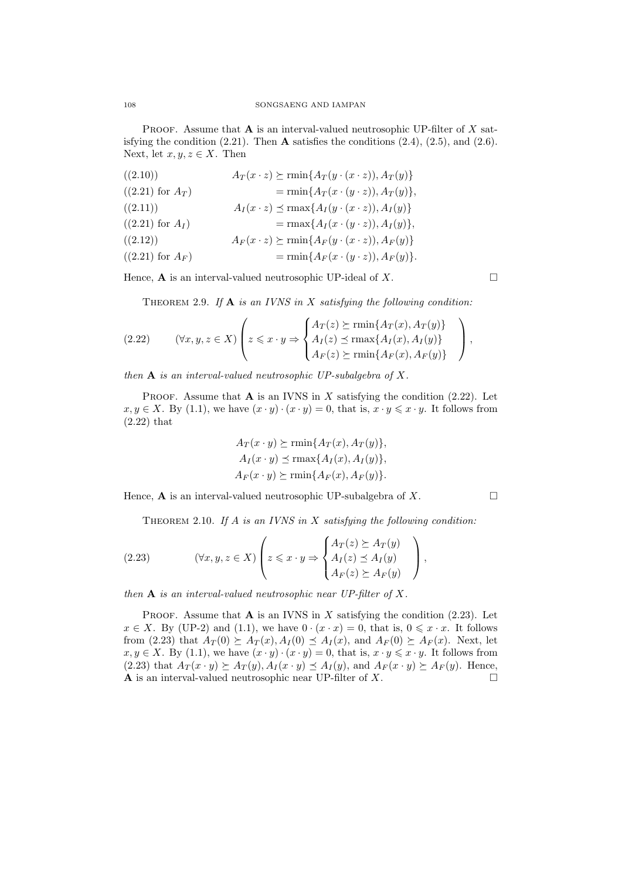PROOF. Assume that **A** is an interval-valued neutrosophic UP-filter of *X* satisfying the condition  $(2.21)$ . Then **A** satisfies the conditions  $(2.4)$ ,  $(2.5)$ , and  $(2.6)$ . Next, let  $x, y, z \in X$ . Then

| ((2.10))             | $A_T(x \cdot z) \succeq \min\{A_T(y \cdot (x \cdot z)), A_T(y)\}\$ |
|----------------------|--------------------------------------------------------------------|
| $((2.21)$ for $A_T)$ | $= \min\{A_T(x\cdot(y\cdot z)), A_T(y)\},\$                        |
| ((2.11))             | $A_I(x \cdot z) \preceq \max\{A_I(y \cdot (x \cdot z)), A_I(y)\}\$ |
| $((2.21)$ for $A_I)$ | $= \max\{A_I(x\cdot (y\cdot z)), A_I(y)\},\$                       |
| ((2.12))             | $A_F(x \cdot z) \succeq \min\{A_F(y \cdot (x \cdot z)), A_F(y)\}\$ |
| $((2.21)$ for $A_F)$ | $= \min\{A_F(x \cdot (y \cdot z)), A_F(y)\}.$                      |

Hence,  $\bf{A}$  is an interval-valued neutrosophic UP-ideal of  $X$ .

Theorem 2.9. *If* **A** *is an IVNS in X satisfying the following condition:*

(2.22) 
$$
(\forall x, y, z \in X) \left( z \leq x \cdot y \Rightarrow \begin{cases} A_T(z) \geq \min\{A_T(x), A_T(y)\} \\ A_I(z) \leq \max\{A_I(x), A_I(y)\} \\ A_F(z) \geq \min\{A_F(x), A_F(y)\} \end{cases} \right),
$$

*then* **A** *is an interval-valued neutrosophic UP-subalgebra of X.*

PROOF. Assume that  $\bf{A}$  is an IVNS in  $\bf{X}$  satisfying the condition (2.22). Let *x*, *y* ∈ *X*. By (1.1), we have  $(x \cdot y) \cdot (x \cdot y) = 0$ , that is,  $x \cdot y \leq x \cdot y$ . It follows from (2.22) that

$$
A_T(x \cdot y) \succeq \min\{A_T(x), A_T(y)\},
$$
  
\n
$$
A_I(x \cdot y) \preceq \max\{A_I(x), A_I(y)\},
$$
  
\n
$$
A_F(x \cdot y) \succeq \min\{A_F(x), A_F(y)\}.
$$

Hence, **A** is an interval-valued neutrosophic UP-subalgebra of  $X$ .

Theorem 2.10. *If A is an IVNS in X satisfying the following condition:*

(2.23) 
$$
(\forall x, y, z \in X) \left( z \leq x \cdot y \Rightarrow \begin{cases} A_T(z) \succeq A_T(y) \\ A_I(z) \preceq A_I(y) \\ A_F(z) \succeq A_F(y) \end{cases} \right),
$$

*then* **A** *is an interval-valued neutrosophic near UP-filter of X.*

PROOF. Assume that  $\bf{A}$  is an IVNS in  $\bf{X}$  satisfying the condition (2.23). Let *x* ∈ *X*. By (UP-2) and (1.1), we have  $0 \cdot (x \cdot x) = 0$ , that is,  $0 \le x \cdot x$ . It follows from (2.23) that  $A_T(0) \succeq A_T(x), A_I(0) \preceq A_I(x),$  and  $A_F(0) \succeq A_F(x)$ . Next, let *x*, *y* ∈ *X*. By (1.1), we have  $(x \cdot y) \cdot (x \cdot y) = 0$ , that is,  $x \cdot y \leq x \cdot y$ . It follows from (2.23) that  $A_T(x \cdot y) \succeq A_T(y)$ ,  $A_I(x \cdot y) \preceq A_I(y)$ , and  $A_F(x \cdot y) \succeq A_F(y)$ . Hence, **A** is an interval-valued neutrosophic near UP-filter of  $X$ .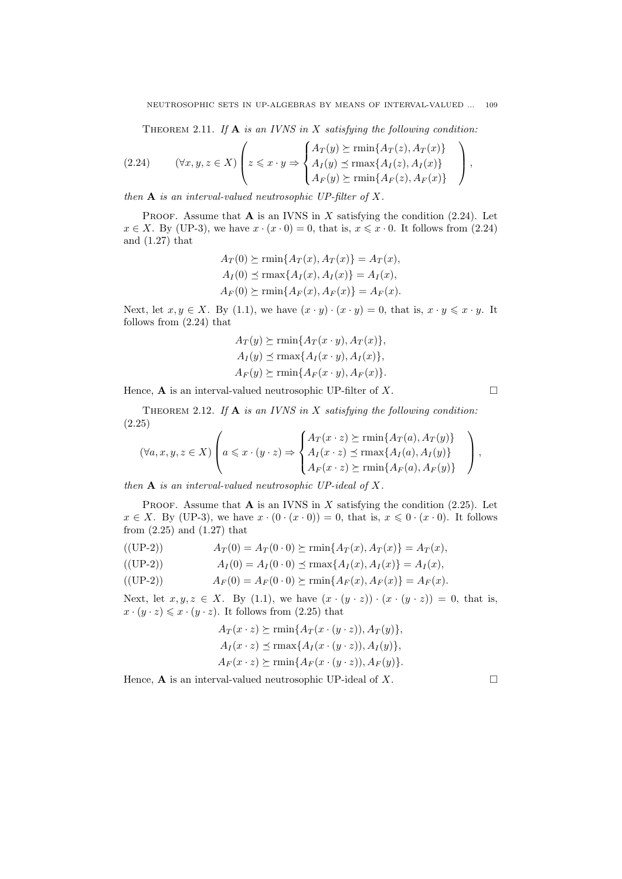Theorem 2.11. *If* **A** *is an IVNS in X satisfying the following condition:*

(2.24) 
$$
(\forall x, y, z \in X) \left( z \leq x \cdot y \Rightarrow \begin{cases} A_T(y) \succeq \text{rmin}\{A_T(z), A_T(x)\} \\ A_I(y) \preceq \text{rmax}\{A_I(z), A_I(x)\} \\ A_F(y) \succeq \text{rmin}\{A_F(z), A_F(x)\} \end{cases} \right)
$$

*then* **A** *is an interval-valued neutrosophic UP-filter of X.*

PROOF. Assume that  $\bf{A}$  is an IVNS in  $\bf{X}$  satisfying the condition (2.24). Let  $x \in X$ . By (UP-3), we have  $x \cdot (x \cdot 0) = 0$ , that is,  $x \leq x \cdot 0$ . It follows from (2.24) and (1.27) that

$$
A_T(0) \succeq \min\{A_T(x), A_T(x)\} = A_T(x),
$$
  
\n
$$
A_I(0) \preceq \max\{A_I(x), A_I(x)\} = A_I(x),
$$
  
\n
$$
A_F(0) \succeq \min\{A_F(x), A_F(x)\} = A_F(x).
$$

Next, let  $x, y \in X$ . By (1.1), we have  $(x \cdot y) \cdot (x \cdot y) = 0$ , that is,  $x \cdot y \leq x \cdot y$ . It follows from (2.24) that

$$
A_T(y) \succeq \min\{A_T(x \cdot y), A_T(x)\},\
$$

$$
A_I(y) \preceq \max\{A_I(x \cdot y), A_I(x)\},\
$$

$$
A_F(y) \succeq \min\{A_F(x \cdot y), A_F(x)\}.
$$

Hence,  $\bf{A}$  is an interval-valued neutrosophic UP-filter of  $X$ .

Theorem 2.12. *If* **A** *is an IVNS in X satisfying the following condition:* (2.25)

$$
(\forall a, x, y, z \in X) \left( a \leq x \cdot (y \cdot z) \Rightarrow \begin{cases} A_T(x \cdot z) \succeq \min\{A_T(a), A_T(y)\} \\ A_I(x \cdot z) \preceq \max\{A_I(a), A_I(y)\} \\ A_F(x \cdot z) \succeq \min\{A_F(a), A_F(y)\} \end{cases} \right),
$$

*then* **A** *is an interval-valued neutrosophic UP-ideal of X.*

PROOF. Assume that  $A$  is an IVNS in  $X$  satisfying the condition (2.25). Let  $x \in X$ . By (UP-3), we have  $x \cdot (0 \cdot (x \cdot 0)) = 0$ , that is,  $x \leq 0 \cdot (x \cdot 0)$ . It follows from  $(2.25)$  and  $(1.27)$  that

$$
A_T(0) = A_T(0 \cdot 0) \succeq \min\{A_T(x), A_T(x)\} = A_T(x),
$$

$$
A_I(0) = A_I(0 \cdot 0) \le \max\{A_I(x), A_I(x)\} = A_I(x),
$$
  

$$
A_I(0) = A_I(0 \cdot 0) \le \min\{A_I(x), A_I(x)\} = A_I(x),
$$

$$
A_F(0) = A_F(0 \cdot 0) \succeq \min\{A_F(x), A_F(x)\} = A_F(x).
$$

Next, let  $x, y, z \in X$ . By (1.1), we have  $(x \cdot (y \cdot z)) \cdot (x \cdot (y \cdot z)) = 0$ , that is,  $x \cdot (y \cdot z) \leq x \cdot (y \cdot z)$ . It follows from (2.25) that

$$
A_T(x \cdot z) \succeq \min\{A_T(x \cdot (y \cdot z)), A_T(y)\},\
$$
  

$$
A_I(x \cdot z) \preceq \max\{A_I(x \cdot (y \cdot z)), A_I(y)\},\
$$
  

$$
A_F(x \cdot z) \succeq \min\{A_F(x \cdot (y \cdot z)), A_F(y)\}.
$$

Hence,  $\bf{A}$  is an interval-valued neutrosophic UP-ideal of *X*.

*,*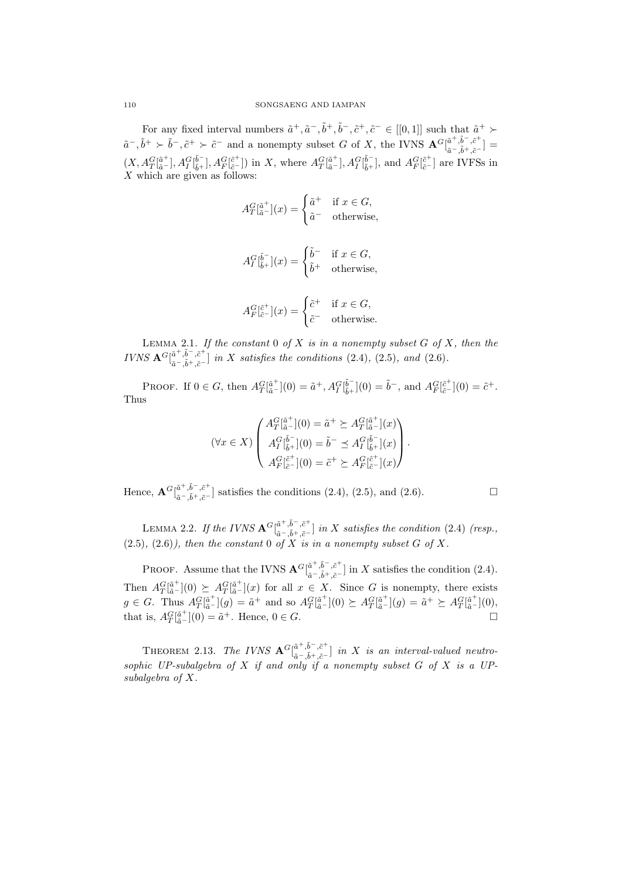For any fixed interval numbers  $\tilde{a}^+, \tilde{a}^-, \tilde{b}^+, \tilde{b}^-, \tilde{c}^+, \tilde{c}^- \in [[0,1]]$  such that  $\tilde{a}^+ \succ$  $\tilde{a}^-, \tilde{b}^+ \succ \tilde{b}^-, \tilde{c}^+ \succ \tilde{c}^-$  and a nonempty subset G of X, the IVNS  ${\bf A}^G\begin{bmatrix} \tilde{a}^+, \tilde{b}^-, \tilde{c}^+\\ \tilde{a}^-,\tilde{b}^+ \end{bmatrix}$  $\left[ \begin{smallmatrix} a & ,b & ,c\ \tilde{a} & ,\tilde{b}^+,\tilde{c}^- \end{smallmatrix} \right] =$  $(X, A_T^G[\tilde{a}^+], A_T^G[\tilde{b}^-_+], A_F^G[\tilde{c}^+])$  in X, where  $A_T^G[\tilde{a}^+], A_T^G[\tilde{b}^-_+]$ , and  $A_F^G[\tilde{c}^+]$  are IVFSs in *X* which are given as follows:

$$
A_T^G[\tilde{a}^+](x) = \begin{cases} \tilde{a}^+ & \text{if } x \in G, \\ \tilde{a}^- & \text{otherwise,} \end{cases}
$$

$$
A_I^G[\tilde{b}^-_{\tilde{b}^+}](x) = \begin{cases} \tilde{b}^- & \text{if } x \in G, \\ \tilde{b}^+ & \text{otherwise,} \end{cases}
$$

$$
A_F^G[\tilde{c}^+](x) = \begin{cases} \tilde{c}^+ & \text{if } x \in G, \\ \tilde{c}^- & \text{otherwise.} \end{cases}
$$

Lemma 2.1. *If the constant* 0 *of X is in a nonempty subset G of X, then the*  $IVNS$   $\mathbf{A}^G$  $\begin{bmatrix} \tilde{a}^+,\tilde{b}^-,\tilde{c}^+ \\ \tilde{a}-\tilde{a}+\tilde{a}-\tilde{b}^- \end{bmatrix}$  $a^{-}, b^{-}, c^{-}$  *in X satisfies the conditions* (2.4), (2.5)*, and* (2.6)*.* 

PROOF. If  $0 \in G$ , then  $A_T^G[\tilde{a}^+](0) = \tilde{a}^+, A_T^G[\tilde{b}^-](0) = \tilde{b}^-$ , and  $A_F^G[\tilde{c}^+](0) = \tilde{c}^+.$ Thus

$$
(\forall x \in X) \begin{pmatrix} A_T^G[\tilde{a}^+](0) = \tilde{a}^+ \succeq A_T^G[\tilde{a}^+](x) \\ A_T^G[\tilde{b}^-_+](0) = \tilde{b}^- \preceq A_T^G[\tilde{b}^-_+](x) \\ A_{F}^G[\tilde{c}^+](0) = \tilde{c}^+ \succeq A_{F}^G[\tilde{c}^+](x) \end{pmatrix}.
$$

 $\text{Hence, } \mathbf{A}^G[\begin{smallmatrix} \tilde{a}^+, \tilde{b}^-, \tilde{c}^+ \ \tilde{a}-\tilde{a}+\tilde{a}-\tilde{c} \end{smallmatrix}$ *a*<sup>−</sup>, $^a$ <sup>*,*</sup> $^b$ , $c$ <sup>*-*</sup></sup> $]$  satisfies the conditions (2.4), (2.5), and (2.6). □

LEMMA 2.2. *If the IVNS*  ${\bf A}^G\begin{bmatrix} \tilde{a}^+,\tilde{b}^-, \tilde{c}^+\\ \tilde{a}^-,\tilde{a}^+ \end{bmatrix}$ *a*˜*−,*˜*b*+*,c*˜*<sup>−</sup>* ] *in X satisfies the condition* (2.4) *(resp.,*  $(2.5)$ ,  $(2.6)$ *)*, then the constant 0 of X is in a nonempty subset G of X.

PROOF. Assume that the IVNS  ${\bf A}^G\begin{bmatrix} \tilde{a}^+, \tilde{b}^-, \tilde{c}^+\\ z^- \tilde{z}^+ \end{bmatrix}$  $a^{\alpha}$ , $b^{\alpha}$ , $c^{\alpha}$ <sup>*c*</sup>,  $\tilde{a}$ <sup>−</sup>, $\tilde{b}$ <sup>+</sup>, $\tilde{c}$ <sup>−</sup></sub> ] in *X* satisfies the condition (2.4). Then  $A_T^G[\tilde{a}^+](0) \succeq A_T^G[\tilde{a}^+](x)$  for all  $x \in X$ . Since *G* is nonempty, there exists  $g \in G$ . Thus  $A_T^G[\tilde{a}^+](g) = \tilde{a}^+$  and so  $A_T^G[\tilde{a}^+](0) \succeq A_T^G[\tilde{a}^+](g) = \tilde{a}^+ \succeq A_T^G[\tilde{a}^+](0)$ , that is,  $A_T^G$  $[<sup>\tilde{a}^+</sup>]<sub>\tilde{a}^-</sub>$  [0) =  $\tilde{a}^+$ . Hence, 0 ∈ *G*. □

THEOREM 2.13. *The IVNS*  ${\bf A}^G\begin{bmatrix} \tilde{a}^+,\tilde{b}^-, \tilde{c}^+\\ z-\tilde{z}+\tilde{z}^-\end{bmatrix}$ *a*˜*−,*˜*b*+*,c*˜*<sup>−</sup>* ] *in X is an interval-valued neutrosophic UP-subalgebra of X if and only if a nonempty subset G of X is a UPsubalgebra of X.*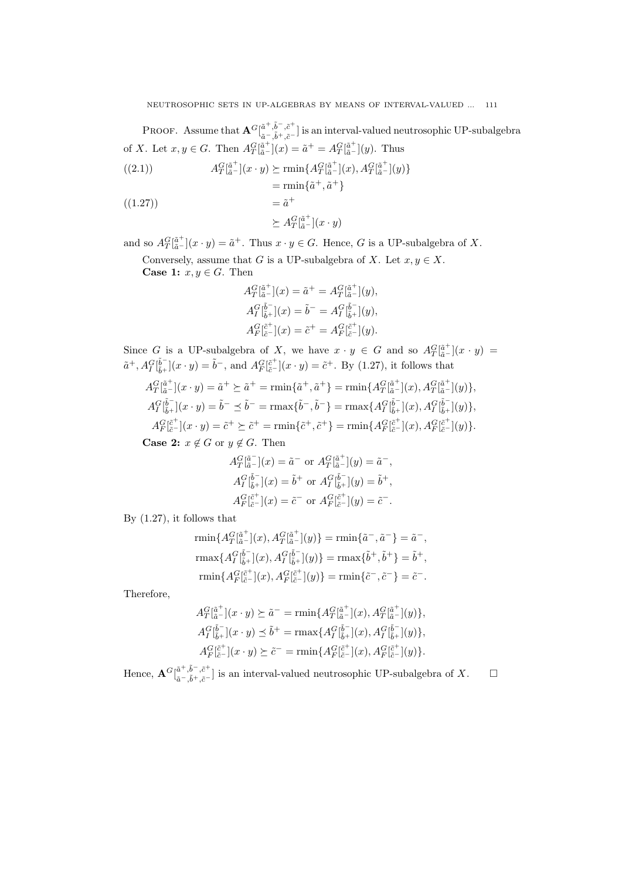PROOF. Assume that  $\mathbf{A}^G\begin{bmatrix} \tilde{a}^+ , \tilde{b}^- , \tilde{c}^+ \\ \tilde{c}^- , \tilde{b}^+ , \tilde{c}^- \end{bmatrix}$ *a*˜*−,*˜*b*+*,c*˜*<sup>−</sup>* ] is an interval-valued neutrosophic UP-subalgebra of *X*. Let  $x, y \in G$ . Then  $A_T^G[\tilde{a}^+](x) = \tilde{a}^+ = A_T^G[\tilde{a}^+](y)$ . Thus

$$
A_T^G[\tilde{a}^+](x \cdot y) \succeq \min\{A_T^G[\tilde{a}^+](x), A_T^G[\tilde{a}^+](y)\}\
$$

$$
= \min\{\tilde{a}^+, \tilde{a}^+\}
$$

 $=\tilde{a}$  $((1.27))$ 

$$
\succeq A_T^G[\tilde{\mathbf{a}}^+](x \cdot y)
$$

and so  $A_T^G[\tilde{a}^+](x \cdot y) = \tilde{a}^+$ . Thus  $x \cdot y \in G$ . Hence, *G* is a UP-subalgebra of *X*.

Conversely, assume that *G* is a UP-subalgebra of *X*. Let  $x, y \in X$ . **Case 1:**  $x, y \in G$ . Then

$$
A_T^G[\tilde{a}^-](x) = \tilde{a}^+ = A_T^G[\tilde{a}^+](y),
$$
  
\n
$$
A_T^G[\tilde{b}^-_+](x) = \tilde{b}^- = A_T^G[\tilde{b}^-_+](y),
$$
  
\n
$$
A_F^G[\tilde{c}^+](x) = \tilde{c}^+ = A_F^G[\tilde{c}^+](y).
$$

Since *G* is a UP-subalgebra of *X*, we have  $x \cdot y \in G$  and so  $A_T^G \left[\frac{\tilde{a}^+}{\tilde{a}^-}\right](x \cdot y) =$  $\tilde{a}^+, A_I^G[\tilde{b}^-_{\tilde{b}^+}](x \cdot y) = \tilde{b}^-$ , and  $A_F^G[\tilde{c}^+_{\tilde{c}^-}](x \cdot y) = \tilde{c}^+$ . By (1.27), it follows that

$$
A_{T}^{G}[\tilde{a}^+](x \cdot y) = \tilde{a}^+ \succeq \tilde{a}^+ = \min\{\tilde{a}^+, \tilde{a}^+\} = \min\{A_{T}^{G}[\tilde{a}^+](x), A_{T}^{G}[\tilde{a}^+](y)\},
$$
  
\n
$$
A_{I}^{G}[\tilde{b}^-](x \cdot y) = \tilde{b}^- \preceq \tilde{b}^- = \max\{\tilde{b}^-, \tilde{b}^-\} = \max\{A_{I}^{G}[\tilde{b}^-](x), A_{I}^{G}[\tilde{b}^-](y)\},
$$
  
\n
$$
A_{F}^{G}[\tilde{c}^+](x \cdot y) = \tilde{c}^+ \succeq \tilde{c}^+ = \min\{\tilde{c}^+, \tilde{c}^+\} = \min\{A_{F}^{G}[\tilde{c}^+](x), A_{F}^{G}[\tilde{c}^+](y)\}.
$$
  
\nCase 2:  $x \notin G$  or  $y \notin G$ . Then

$$
A_T^G[\tilde{a}^-](x) = \tilde{a}^- \text{ or } A_T^G[\tilde{a}^+](y) = \tilde{a}^-,
$$
  
\n
$$
A_I^G[\tilde{b}^-_+](x) = \tilde{b}^+ \text{ or } A_I^G[\tilde{b}^-_+](y) = \tilde{b}^+,
$$
  
\n
$$
A_F^G[\tilde{c}^+](x) = \tilde{c}^- \text{ or } A_F^G[\tilde{c}^+](y) = \tilde{c}^-.
$$

By (1.27), it follows that

$$
\begin{aligned}\n\text{rmin}\{A_T^G[\tilde{a}^+](x), A_T^G[\tilde{a}^+](y)\} &= \text{rmin}\{\tilde{a}^-,\tilde{a}^-\} = \tilde{a}^-, \\
\text{rmax}\{A_I^G[\tilde{b}^-_+](x), A_I^G[\tilde{b}^-_+](y)\} &= \text{rmax}\{\tilde{b}^+, \tilde{b}^+\} = \tilde{b}^+, \\
\text{rmin}\{A_F^G[\tilde{c}^+](x), A_F^G[\tilde{c}^+](y)\} &= \text{rmin}\{\tilde{c}^-,\tilde{c}^-\} = \tilde{c}^-. \\
\end{aligned}
$$

Therefore,

$$
A_T^G[\tilde{a}^+](x \cdot y) \succeq \tilde{a}^- = \min \{ A_T^G[\tilde{a}^+](x), A_T^G[\tilde{a}^+](y) \},
$$
  
\n
$$
A_I^G[\tilde{b}^-_+](x \cdot y) \preceq \tilde{b}^+ = \max \{ A_I^G[\tilde{b}^-_+](x), A_I^G[\tilde{b}^-_+](y) \},
$$
  
\n
$$
A_F^G[\tilde{c}^+](x \cdot y) \succeq \tilde{c}^- = \min \{ A_F^G[\tilde{c}^+](x), A_F^G[\tilde{c}^+](y) \}.
$$

 $\text{Hence, } \mathbf{A}^G \lbrack \begin{smallmatrix} \tilde{a}^+, \tilde{b}^-, \tilde{c}^+ \ \tilde{a}-\tilde{a}+\tilde{a}-\tilde{a} \end{smallmatrix}$ *a*<sup>−</sup>,<sup>*b*</sup> +,*c*<sup>−</sup></sup> l is an interval-valued neutrosophic UP-subalgebra of *X*.  $\Box$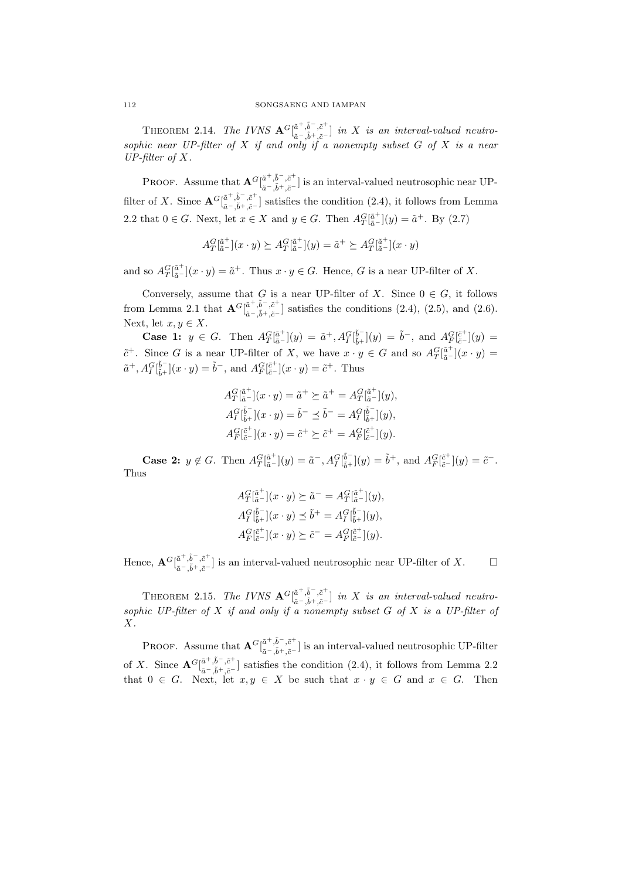THEOREM 2.14. *The IVNS*  $\mathbf{A}^G\begin{bmatrix} \tilde{a}^+,\tilde{b}^-, \tilde{c}^+\\ \tilde{z}-\tilde{z}^+ \end{bmatrix}$ *a*˜*−,*˜*b*+*,c*˜*<sup>−</sup>* ] *in X is an interval-valued neutrosophic near UP-filter of X if and only if a nonempty subset G of X is a near UP-filter of X.*

PROOF. Assume that  $\mathbf{A}^G\begin{bmatrix} \tilde{a}^+ , \tilde{b}^- , \tilde{c}^+ \\ z^- , \tilde{z}^+ \end{bmatrix}$ *a*  $\cdot$ <sup>*,b*</sup>, *c*<sup>−</sup> is an interval-valued neutrosophic near UP-<br> $\tilde{a}$ <sup>−</sup>, $\tilde{b}$ <sup>+</sup>, $\tilde{c}$ <sup>−</sup> filter of *X*. Since  $\mathbf{A}^G[\begin{matrix} \tilde{a}^+, \tilde{b}^-, \tilde{c}^+ \\ z - \tilde{b}^+ \end{matrix}]$ *a*<sup>−</sup>,<sup>*b*</sup>  $\cdot$ ,<sup>*c*</sup>  $\cdot$ </sup> satisfies the condition (2.4), it follows from Lemma 2.2 that 0 ∈ *G*. Next, let  $x \in X$  and  $y \in G$ . Then  $A_T^G[\tilde{a}^+](y) = \tilde{a}^+$ . By (2.7)

$$
A_T^G[\tilde{\mathbf{a}}_T^+](x \cdot y) \succeq A_T^G[\tilde{\mathbf{a}}_T^+](y) = \tilde{a}^+ \succeq A_T^G[\tilde{\mathbf{a}}_T^+](x \cdot y)
$$

and so  $A_T^G[\tilde{a}^+](x \cdot y) = \tilde{a}^+$ . Thus  $x \cdot y \in G$ . Hence, *G* is a near UP-filter of *X*.

Conversely, assume that *G* is a near UP-filter of *X*. Since  $0 \in G$ , it follows from Lemma 2.1 that  $\mathbf{A}^G\begin{bmatrix} \tilde{a}^+ , \tilde{b}^- , \tilde{c}^+ \\ \tilde{c}^- , \tilde{b}^+ , \tilde{c}^- \end{bmatrix}$ *a*<sup>−</sup>,<sup>*b*</sup> <sub>*,</sub></sub><sup><i>c*</sup> <sup>*c*</sup></sup><sub>*a*<sup>−</sup>, $\tilde{b}$ <sup>+</sup>, $\tilde{c}$ <sup>−</sup></sub><sup>*a*</sup> and (2.6).  $\tilde{a}$ <sup>−</sup>, $\tilde{b}$ <sup>+</sup>, $\tilde{c}$ <sup>−</sup></sub> Next, let  $x, y \in X$ .

**Case 1:**  $y \in G$ . Then  $A_T^G[\tilde{a}^+](y) = \tilde{a}^+, A_T^G[\tilde{b}^-](y) = \tilde{b}^-,$  and  $A_F^G[\tilde{c}^+](y) =$  $\tilde{c}^+$ . Since *G* is a near UP-filter of *X*, we have  $x \cdot y \in G$  and so  $A_T^G[\tilde{a}^+](x \cdot y) =$  $\tilde{a}^+, A_I^G[\bar{b}^-_{\tilde{b}^+}](x \cdot y) = \tilde{b}^-$ , and  $A_F^G[\bar{c}^+_{\tilde{c}^-}](x \cdot y) = \tilde{c}^+$ . Thus

$$
A_T^G[\tilde{a}^+](x \cdot y) = \tilde{a}^+ \succeq \tilde{a}^+ = A_T^G[\tilde{a}^+](y),
$$
  
\n
$$
A_T^G[\tilde{b}^-_+](x \cdot y) = \tilde{b}^- \preceq \tilde{b}^- = A_T^G[\tilde{b}^-_+](y),
$$
  
\n
$$
A_T^G[\tilde{c}^+](x \cdot y) = \tilde{c}^+ \succeq \tilde{c}^+ = A_T^G[\tilde{c}^+](y).
$$

**Case 2:**  $y \notin G$ . Then  $A_T^G[\tilde{a}^+](y) = \tilde{a}^-, A_T^G[\tilde{b}^-](y) = \tilde{b}^+,$  and  $A_F^G[\tilde{c}^+](y) = \tilde{c}^-.$ Thus

$$
A_T^G[\tilde{a}^+](x \cdot y) \succeq \tilde{a}^- = A_T^G[\tilde{a}^+](y),
$$
  
\n
$$
A_I^G[\tilde{b}^-_+](x \cdot y) \preceq \tilde{b}^+ = A_I^G[\tilde{b}^-_+](y),
$$
  
\n
$$
A_F^G[\tilde{c}^+](x \cdot y) \succeq \tilde{c}^- = A_F^G[\tilde{c}^+](y).
$$

 $\text{Hence, } \mathbf{A}^G \lbrack_{z - \frac{\tilde{t}}{\tilde{t}} + \frac{\tilde{b}^-, \tilde{c}^+}{z- \tilde{b}^-}}$ *a*<sup>−</sup>,<sup>*b*</sup> +,*c*<sup>−</sup></sub> l is an interval-valued neutrosophic near UP-filter of *X*.  $\Box$ 

THEOREM 2.15. *The IVNS*  $\mathbf{A}^G\begin{bmatrix} \tilde{a}^+,\tilde{b}^-, \tilde{c}^+\\ \tilde{z}-\tilde{z}^+ \end{bmatrix}$ *a*˜*−,*˜*b*+*,c*˜*<sup>−</sup>* ] *in X is an interval-valued neutrosophic UP-filter of X if and only if a nonempty subset G of X is a UP-filter of X.*

PROOF. Assume that  $\mathbf{A}^G[\tilde{a}^{\dagger}, \tilde{b}^{\dagger}, \tilde{c}^{\dagger}]_{z=-\tilde{t}+\tilde{z}=\tilde{z}}$ *a*  $\cdot$ <sup>*,b*</sup>, *c*<sup>−</sup> is an interval-valued neutrosophic UP-filter of *X*. Since  $\mathbf{A}^G\begin{bmatrix} \tilde{a}^+, \tilde{b}^-, \tilde{c}^+\\ \tilde{a}-\tilde{a}+\tilde{a}^- \end{bmatrix}$ *a*<sup>−</sup>,<sup>*b*</sup>−,*c*<sup>−</sup></sup> ] satisfies the condition (2.4), it follows from Lemma 2.2 that  $0 \in G$ . Next, let  $x, y \in X$  be such that  $x \cdot y \in G$  and  $x \in G$ . Then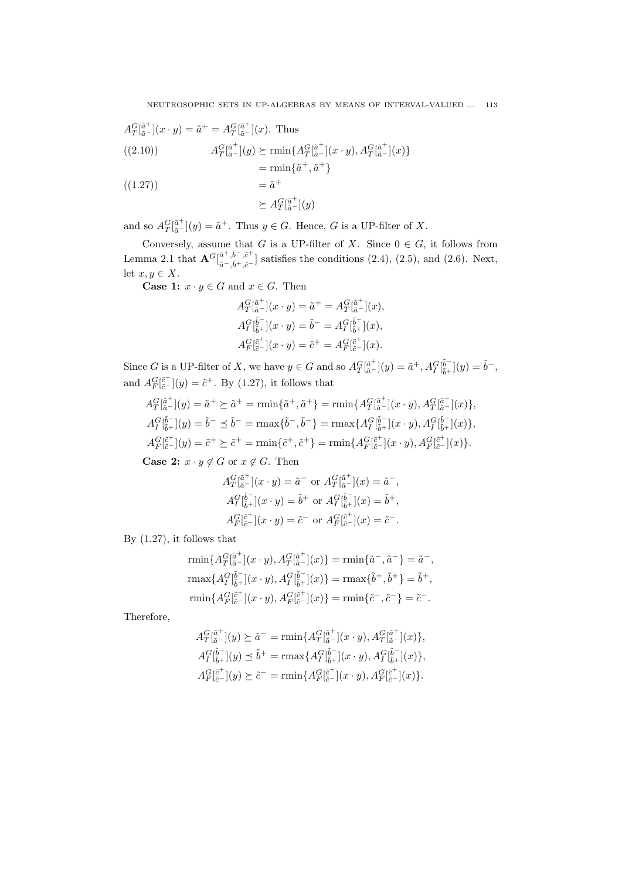$$
A_T^G[\tilde{a}^+](x \cdot y) = \tilde{a}^+ = A_T^G[\tilde{a}^+](x). \text{ Thus}
$$
  
\n((2.10))  
\n
$$
A_T^G[\tilde{a}^+](y) \succeq \min \{ A_T^G[\tilde{a}^+](x \cdot y), A_T^G[\tilde{a}^+](x) \}
$$
  
\n
$$
= \min \{ \tilde{a}^+, \tilde{a}^+ \}
$$

$$
((1.27)) \qquad \qquad = \tilde{a}^+
$$

$$
\succeq A_T^G[\tilde{\mathbf{a}}^+](y)
$$

and so  $A_T^G[\tilde{a}^+](y) = \tilde{a}^+$ . Thus  $y \in G$ . Hence, *G* is a UP-filter of *X*.

Conversely, assume that *G* is a UP-filter of *X*. Since  $0 \in G$ , it follows from Lemma 2.1 that  $\mathbf{A}^{G}$  $\begin{bmatrix} \tilde{a}^{+}, \tilde{b}^{-}, \tilde{c}^{+} \\ z^{-} , \tilde{b}^{+}, z^{-} \end{bmatrix}$  $a^{\text{-}}$ , $b^{\text{-}}$ , $c^{\text{-}}$ <sub>*,*</sub><sup>*c*</sup><sub>−</sub> $\bar{b}$  +, $\tilde{c}$ <sup>−</sup> $\bar{b}$  satisfies the conditions (2.4), (2.5), and (2.6). Next, let  $x, y \in X$ .

**Case 1:**  $x \cdot y \in G$  and  $x \in G$ . Then

$$
A_T^G[\tilde{a}^+](x \cdot y) = \tilde{a}^+ = A_T^G[\tilde{a}^+](x),
$$
  
\n
$$
A_I^G[\tilde{b}^-_+](x \cdot y) = \tilde{b}^- = A_I^G[\tilde{b}^-_+](x),
$$
  
\n
$$
A_F^G[\tilde{c}^-](x \cdot y) = \tilde{c}^+ = A_F^G[\tilde{c}^+](x).
$$

Since G is a UP-filter of X, we have  $y \in G$  and so  $A_T^G \tilde{a}^{\dagger}_{\bar{a}}(y) = \tilde{a}^+, A_T^G \tilde{b}^{\dagger}_{\tilde{b}^+}(y) = \tilde{b}^-,$ and  $A_F^G[\tilde{e}^+](y) = \tilde{e}^+$ . By (1.27), it follows that

$$
A_T^G \tilde{a}^{\tilde{a}^+}_{\tilde{a}^-}(y) = \tilde{a}^+ \succeq \tilde{a}^+ = \min\{\tilde{a}^+, \tilde{a}^+\} = \min\{A_T^G \tilde{a}^+_{\tilde{a}^-}(x \cdot y), A_T^G \tilde{a}^+_{\tilde{a}^-}(x)\},
$$
  
\n
$$
A_T^G \tilde{b}^-_{\tilde{b}^+}(y) = \tilde{b}^- \preceq \tilde{b}^- = \max\{\tilde{b}^-, \tilde{b}^-\} = \max\{A_T^G \tilde{b}^+_{\tilde{b}^+}(x \cdot y), A_T^G \tilde{b}^-_{\tilde{b}^+}(x)\},
$$
  
\n
$$
A_F^G \tilde{b}^+_{\tilde{c}^-}(y) = \tilde{c}^+ \succeq \tilde{c}^+ = \min\{\tilde{c}^+, \tilde{c}^+\} = \min\{A_F^G \tilde{b}^+_{\tilde{c}^-}(x \cdot y), A_F^G \tilde{b}^-_{\tilde{c}^-}(x)\}.
$$

**Case 2:**  $x \cdot y \notin G$  or  $x \notin G$ . Then

$$
A_T^G[\tilde{a}^+](x \cdot y) = \tilde{a}^- \text{ or } A_T^G[\tilde{a}^+](x) = \tilde{a}^-,
$$
  
\n
$$
A_I^G[\tilde{b}^-_+](x \cdot y) = \tilde{b}^+ \text{ or } A_I^G[\tilde{b}^-_+](x) = \tilde{b}^+,
$$
  
\n
$$
A_F^G[\tilde{c}^+](x \cdot y) = \tilde{c}^- \text{ or } A_F^G[\tilde{c}^-](x) = \tilde{c}^-.
$$

By (1.27), it follows that

$$
\begin{aligned} &\text{rmin}\{A^G_T[\tilde{\tilde{a}}^+](x \cdot y), A^G_T[\tilde{\tilde{a}}^+](x)\} = \text{rmin}\{\tilde{a}^-,\tilde{a}^-\} = \tilde{a}^-,\\ &\text{rmax}\{A^G_T[\tilde{\tilde{b}}^+_{\tilde{b}^+}](x \cdot y), A^G_T[\tilde{\tilde{b}}^+_{\tilde{b}^+}](x)\} = \text{rmax}\{\tilde{b}^+, \tilde{b}^+\} = \tilde{b}^+,\\ &\text{rmin}\{A^G_T[\tilde{\tilde{c}}^+](x \cdot y), A^G_T[\tilde{\tilde{c}}^+](x)\} = \text{rmin}\{\tilde{c}^-,\tilde{c}^-\} = \tilde{c}^-. \end{aligned}
$$

Therefore,

$$
A_T^G[\tilde{a}^+](y) \succeq \tilde{a}^- = \min\{A_T^G[\tilde{a}^+](x \cdot y), A_T^G[\tilde{a}^+](x)\},
$$
  
\n
$$
A_I^G[\tilde{b}^-_+](y) \preceq \tilde{b}^+ = \max\{A_I^G[\tilde{b}^-_+](x \cdot y), A_I^G[\tilde{b}^-_+](x)\},
$$
  
\n
$$
A_F^G[\tilde{c}^-](y) \succeq \tilde{c}^- = \min\{A_F^G[\tilde{c}^+](x \cdot y), A_F^G[\tilde{c}^+](x)\}.
$$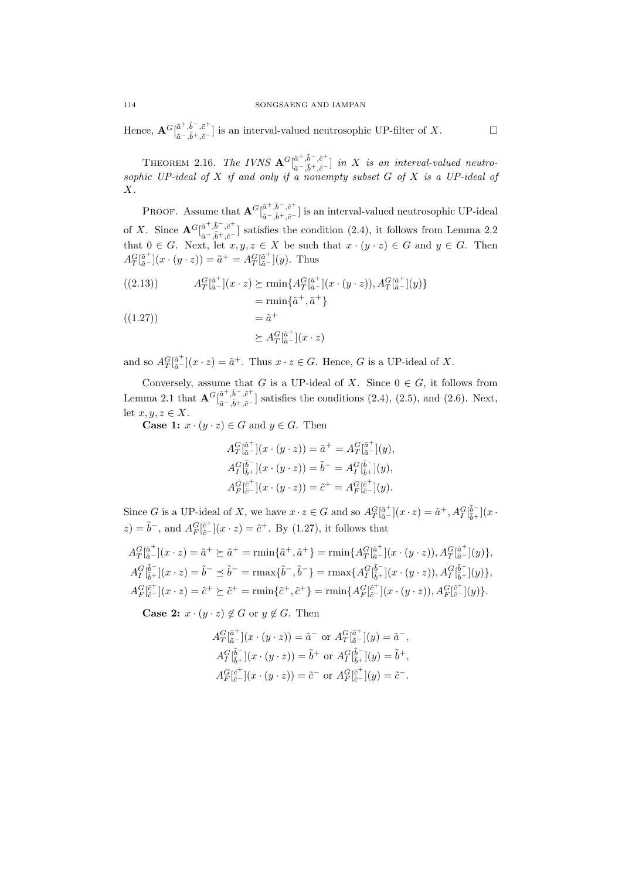$\text{Hence, } \mathbf{A}^G \lbrack \begin{smallmatrix} \tilde{a}^+, \tilde{b}^-, \tilde{c}^+ \ \tilde{a}-\tilde{a}+\tilde{a}-\tilde{a} \end{smallmatrix}$ *a*<sup>−</sup>,<sup>*b*</sup> +,*c*<sup>−</sup></sub> l is an interval-valued neutrosophic UP-filter of *X*.  $\Box$ 

THEOREM 2.16. *The IVNS*  $\mathbf{A}^G\begin{bmatrix} \tilde{a}^+,\tilde{b}^-, \tilde{c}^+\\ \tilde{z}-\tilde{z}^+ \end{bmatrix}$ *a*˜*−,*˜*b*+*,c*˜*<sup>−</sup>* ] *in X is an interval-valued neutrosophic UP-ideal of X if and only if a nonempty subset G of X is a UP-ideal of X.*

PROOF. Assume that  $\mathbf{A}^G \begin{bmatrix} \tilde{a}^+, \tilde{b}^-, \tilde{c}^+ \\ z - \tilde{z}^+ \end{bmatrix}$ *a*  $\cdot$ <sup>*,o*</sup>,<sup>*c*</sup> is an interval-valued neutrosophic UP-ideal of *X*. Since  $\mathbf{A}^G\begin{bmatrix} \tilde{a}^+, \tilde{b}^-, \tilde{c}^+\\ z-\tilde{z}+ \tilde{z}^- \end{bmatrix}$ *a*<sup>−</sup>,<sup>*o*</sup>  $\cdot$ ,<sup>*c*</sup> ] satisfies the condition (2.4), it follows from Lemma 2.2 that  $0 \in G$ . Next, let  $x, y, z \in X$  be such that  $x \cdot (y \cdot z) \in G$  and  $y \in G$ . Then  $A_T^G[\tilde{a}^+](x \cdot (y \cdot z)) = \tilde{a}^+ = A_T^G[\tilde{a}^+](y)$ . Thus

(2.13)) 
$$
A_T^G[\tilde{a}^+](x \cdot z) \succeq \min\{A_T^G[\tilde{a}^+](x \cdot (y \cdot z)), A_T^G[\tilde{a}^+](y)\}
$$

$$
= \min\{\tilde{a}^+, \tilde{a}^+\}
$$

$$
= \tilde{a}^+
$$

$$
\succeq A_T^G[\tilde{\mathbf{a}}^+](x \cdot z)
$$

and so  $A_T^G[\tilde{a}^+](x \cdot z) = \tilde{a}^+$ . Thus  $x \cdot z \in G$ . Hence, *G* is a UP-ideal of *X*.

Conversely, assume that *G* is a UP-ideal of *X*. Since  $0 \in G$ , it follows from Lemma 2.1 that  $\mathbf{A}^{G}$  $\begin{bmatrix} \tilde{a}^+, \tilde{b}^-, \tilde{c}^+ \\ \tilde{a}^- \tilde{b}^- \end{bmatrix}$  $a^{\text{-}}$ , $b^{\text{-}}$ , $c^{\text{-}}$ <sub>*,c*</sub><sup>-</sup><sub>,</sub> $\bar{c}$ <sup>-</sup><sub>,</sub> $\bar{c}$ <sup>-</sup><sub>,</sub> $\bar{c}$ <sup>-</sup>, $\bar{c}$ <sup>-</sup>, $\bar{c}$ <sup>-</sup>, $\bar{c}$ <sup>-</sup>, $\bar{c}$ <sup>-</sup>, $\bar{c}$ <sup>-</sup>, $\bar{c}$ <sup>-</sup>, $\bar{c}$ <sup>-</sup>, $\bar{c}$ <sup>-</sup>, $\bar{c}$ <sup>-</sup>, $\bar{c}$ <sup>-</sup>, $\bar{c}$ <sup>-</sup> let  $x, y, z \in X$ .

**Case 1:**  $x \cdot (y \cdot z) \in G$  and  $y \in G$ . Then

$$
A_T^G[\tilde{a}^+](x \cdot (y \cdot z)) = \tilde{a}^+ = A_T^G[\tilde{a}^+](y),
$$
  
\n
$$
A_T^G[\tilde{b}^-_+](x \cdot (y \cdot z)) = \tilde{b}^- = A_T^G[\tilde{b}^-_+](y),
$$
  
\n
$$
A_T^G[\tilde{c}^+](x \cdot (y \cdot z)) = \tilde{c}^+ = A_T^G[\tilde{c}^+_+](y).
$$

Since G is a UP-ideal of X, we have  $x \cdot z \in G$  and so  $A_T^G[\tilde{a}^+](x \cdot z) = \tilde{a}^+, A_T^G[\tilde{b}^-_+](x \cdot z)$  $z) = \tilde{b}$ <sup>-</sup>, and  $A_F^G[\tilde{c}^+](x \cdot z) = \tilde{c}^+$ . By (1.27), it follows that

$$
A_T^G[\tilde{a}^+](x \cdot z) = \tilde{a}^+ \succeq \tilde{a}^+ = \min\{\tilde{a}^+, \tilde{a}^+\} = \min\{A_T^G[\tilde{a}^+](x \cdot (y \cdot z)), A_T^G[\tilde{a}^+](y)\},
$$
  
\n
$$
A_T^G[\tilde{b}^-](x \cdot z) = \tilde{b}^- \preceq \tilde{b}^- = \max\{\tilde{b}^-, \tilde{b}^-\} = \max\{A_T^G[\tilde{b}^-](x \cdot (y \cdot z)), A_T^G[\tilde{b}^-](y)\},
$$
  
\n
$$
A_F^G[\tilde{c}^+](x \cdot z) = \tilde{c}^+ \succeq \tilde{c}^+ = \min\{\tilde{c}^+, \tilde{c}^+\} = \min\{A_F^G[\tilde{c}^+](x \cdot (y \cdot z)), A_F^G[\tilde{c}^+](y)\}.
$$

**Case 2:**  $x \cdot (y \cdot z) \notin G$  or  $y \notin G$ . Then

$$
A_T^G[\tilde{a}^+](x \cdot (y \cdot z)) = \tilde{a}^- \text{ or } A_T^G[\tilde{a}^+](y) = \tilde{a}^-,
$$
  
\n
$$
A_T^G[\tilde{b}^-](x \cdot (y \cdot z)) = \tilde{b}^+ \text{ or } A_T^G[\tilde{b}^-](y) = \tilde{b}^+,
$$
  
\n
$$
A_F^G[\tilde{c}^+](x \cdot (y \cdot z)) = \tilde{c}^- \text{ or } A_F^G[\tilde{c}^+](y) = \tilde{c}^-.
$$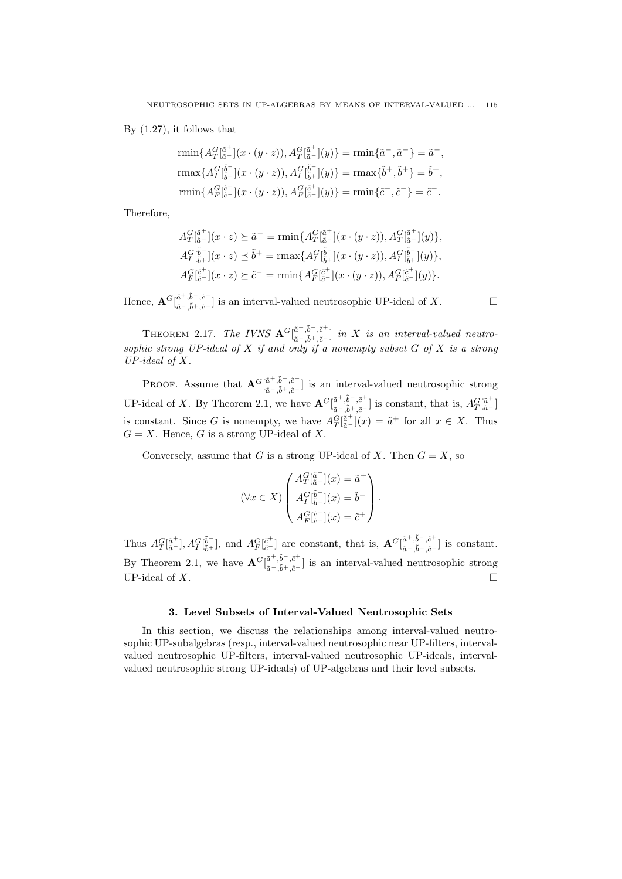By (1.27), it follows that

$$
\begin{aligned}\n\text{rmin}\{A^G_T[\tilde{a}^+](x \cdot (y \cdot z)), A^G_T[\tilde{a}^+](y)\} &= \text{rmin}\{\tilde{a}^-,\tilde{a}^-\} = \tilde{a}^-, \\
\text{rmax}\{A^G_T[\tilde{b}^-_+](x \cdot (y \cdot z)), A^G_T[\tilde{b}^-_+](y)\} &= \text{rmax}\{\tilde{b}^+, \tilde{b}^+\} = \tilde{b}^+, \\
\text{rmin}\{A^G_T[\tilde{c}^+_+](x \cdot (y \cdot z)), A^G_T[\tilde{c}^+_+](y)\} &= \text{rmin}\{\tilde{c}^-,\tilde{c}^-\} = \tilde{c}^-. \\
\end{aligned}
$$

Therefore,

$$
A_T^G[\tilde{a}^+](x \cdot z) \succeq \tilde{a}^- = \min \{ A_T^G[\tilde{a}^+](x \cdot (y \cdot z)), A_T^G[\tilde{a}^+](y) \},
$$
  
\n
$$
A_T^G[\tilde{b}^-](x \cdot z) \preceq \tilde{b}^+ = \max \{ A_T^G[\tilde{b}^-](x \cdot (y \cdot z)), A_T^G[\tilde{b}^-](y) \},
$$
  
\n
$$
A_F^G[\tilde{c}^+](x \cdot z) \succeq \tilde{c}^- = \min \{ A_F^G[\tilde{c}^+](x \cdot (y \cdot z)), A_F^G[\tilde{c}^+](y) \}.
$$

 $\text{Hence, } \mathbf{A}^G[\begin{smallmatrix} \tilde{a}^+, \tilde{b}^-, \tilde{c}^+ \ \tilde{a}-\tilde{a}+\tilde{a}-\tilde{c} \end{smallmatrix}$ *a*<sup>−</sup>,<sup>*o*</sup>  $\cdot$ ,<sup>*c*</sup> is an interval-valued neutrosophic UP-ideal of *X*. □

THEOREM 2.17. *The IVNS*  ${\bf A}^G\begin{bmatrix} \tilde{a}^+,\tilde{b}^-,\tilde{c}^+\\ z-\tilde{z}+\tilde{z}^- \end{bmatrix}$ *a*˜*−,*˜*b*+*,c*˜*<sup>−</sup>* ] *in X is an interval-valued neutrosophic strong UP-ideal of X if and only if a nonempty subset G of X is a strong UP-ideal of X.*

PROOF. Assume that  $\mathbf{A}^G\begin{bmatrix} \tilde{a}^+ , \tilde{b}^- , \tilde{c}^+ \\ \tilde{c}^- , \tilde{c}^+ \end{bmatrix}$ *a*<sup>−</sup>,<sup>*o*</sup></sup>,<sup>*c*</sup><sup>−</sup><sub>*i*</sub><sup>*c*</sup><sub>*n*</sub><sup>*a*</sup><sub></sub><sup>*n*</sup><sub>*n*</sub><sup>*a*</sup><sub>*n*</sub><sup>*n*</sup><sub>*a*</sub><sup>*n*</sup><sub>*n*</sub><sup>*a*</sup><sub>*n*</sub><sup>*n*</sup><sub>*a*</sub><sup>*n*</sup><sub>*n*</sub><sup>*a*</sup><sub>*n*</sub><sup>*n*</sup><sub>*a*</sub><sup>*n*</sup><sub>*n*</sub><sup>*a*</sup><sub>*n*</sub><sup>*n*</sup></sup>*a*<sup>*n*</sup><sub>*a*</sub><sup>*n*</sup>*n*<sup>*a*</sup><sub>*n*</sub><sup>*n*</sup>*n*<sup>*n*</sup></sup>*a*<sup>*n*</sup>*n*<sup>*n*</sup> UP-ideal of *X*. By Theorem 2.1, we have  ${\bf A}^G\begin{bmatrix} \tilde{a}^+, \tilde{b}^-, \tilde{c}^+\\ z- \tilde{t}^+ \end{bmatrix}$  $a^{-}, \tilde{b}^{+}, \tilde{c}^{-}$  is constant, that is,  $A_T^G[\tilde{a}^+]$ is constant. Since *G* is nonempty, we have  $A_T^G[\tilde{a}^+](x) = \tilde{a}^+$  for all  $x \in X$ . Thus  $G = X$ . Hence, *G* is a strong UP-ideal of *X*.

Conversely, assume that *G* is a strong UP-ideal of *X*. Then  $G = X$ , so

$$
(\forall x \in X) \begin{pmatrix} A_T^G \left[\tilde{a}^+\right](x) = \tilde{a}^+ \\ A_T^G \left[\tilde{b}^-\right](x) = \tilde{b}^- \\ A_T^G \left[\tilde{b}^+\right](x) = \tilde{c}^+ \end{pmatrix}.
$$

Thus  $A_T^G[\tilde{a}^+], A_T^G[\tilde{b}^-]$ , and  $A_F^G[\tilde{c}^+]$  are constant, that is,  $\mathbf{A}^G[\tilde{a}^+,\tilde{b}^-,\tilde{c}^+]$ *a*˜*−,*˜*b*+*,c*˜*<sup>−</sup>* ] is constant. By Theorem 2.1, we have  $\mathbf{A}^G\begin{bmatrix} \tilde{a}^+ , \tilde{b}^- , \tilde{c}^+ \\ z^- , \tilde{z}^+ \end{bmatrix}$ *a*<sup>−</sup>,<sup>*o*</sup>,<sup>*c*</sup> is an interval-valued neutrosophic strong  $\tilde{a}$ <sup>−</sup>, $\tilde{b}$ <sup>+</sup>, $\tilde{c}$ <sup>−</sup> UP-ideal of *X*.

### **3. Level Subsets of Interval-Valued Neutrosophic Sets**

In this section, we discuss the relationships among interval-valued neutrosophic UP-subalgebras (resp., interval-valued neutrosophic near UP-filters, intervalvalued neutrosophic UP-filters, interval-valued neutrosophic UP-ideals, intervalvalued neutrosophic strong UP-ideals) of UP-algebras and their level subsets.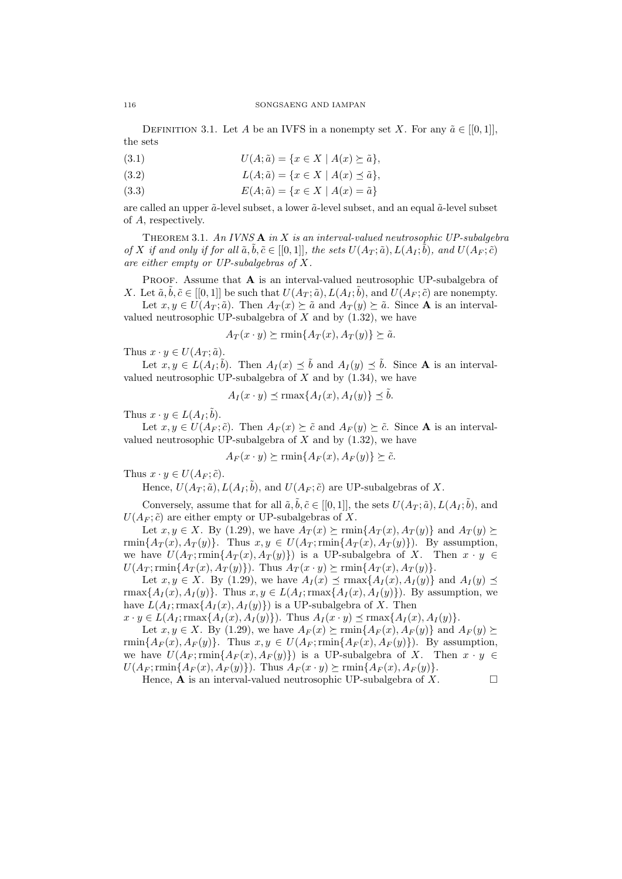DEFINITION 3.1. Let *A* be an IVFS in a nonempty set *X*. For any  $\tilde{a} \in [[0,1]],$ the sets

- (3.1)  $U(A; \tilde{a}) = \{x \in X \mid A(x) \succeq \tilde{a}\},\$
- (3.2)  $L(A; \tilde{a}) = \{x \in X \mid A(x) \leq \tilde{a}\},\$
- (3.3)  $E(A; \tilde{a}) = \{x \in X \mid A(x) = \tilde{a}\}$

are called an upper  $\tilde{a}$ -level subset, a lower  $\tilde{a}$ -level subset, and an equal  $\tilde{a}$ -level subset of *A*, respectively.

Theorem 3.1. *An IVNS* **A** *in X is an interval-valued neutrosophic UP-subalgebra* of X if and only if for all  $\tilde{a}, \tilde{b}, \tilde{c} \in [[0,1]],$  the sets  $U(A_T; \tilde{a}), L(A_I; \tilde{b}),$  and  $U(A_F; \tilde{c})$ *are either empty or UP-subalgebras of X.*

PROOF. Assume that **A** is an interval-valued neutrosophic UP-subalgebra of *X*. Let  $\tilde{a}, \tilde{b}, \tilde{c} \in [[0,1]]$  be such that  $U(A_T; \tilde{a}), L(A_T; \tilde{b}),$  and  $U(A_F; \tilde{c})$  are nonempty.

Let  $x, y \in U(A_T; \tilde{a})$ . Then  $A_T(x) \succeq \tilde{a}$  and  $A_T(y) \succeq \tilde{a}$ . Since **A** is an intervalvalued neutrosophic UP-subalgebra of *X* and by (1.32), we have

$$
A_T(x \cdot y) \succeq \min\{A_T(x), A_T(y)\} \succeq \tilde{a}.
$$

Thus  $x \cdot y \in U(A_T; \tilde{a})$ .

Let  $x, y \in L(A_I; \tilde{b})$ . Then  $A_I(x) \preceq \tilde{b}$  and  $A_I(y) \preceq \tilde{b}$ . Since **A** is an intervalvalued neutrosophic UP-subalgebra of *X* and by (1.34), we have

$$
A_I(x \cdot y) \preceq \max\{A_I(x), A_I(y)\} \preceq \tilde{b}.
$$

Thus  $x \cdot y \in L(A_I; \tilde{b}).$ 

Let  $x, y \in U(A_F; \tilde{c})$ . Then  $A_F(x) \succeq \tilde{c}$  and  $A_F(y) \succeq \tilde{c}$ . Since **A** is an intervalvalued neutrosophic UP-subalgebra of *X* and by (1.32), we have

$$
A_F(x \cdot y) \succeq \min\{A_F(x), A_F(y)\} \succeq \tilde{c}.
$$

Thus  $x \cdot y \in U(A_F; \tilde{c})$ .

Hence,  $U(A_T; \tilde{a})$ ,  $L(A_I; \tilde{b})$ , and  $U(A_F; \tilde{c})$  are UP-subalgebras of X.

Conversely, assume that for all  $\tilde{a}, \tilde{b}, \tilde{c} \in [[0,1]],$  the sets  $U(A_T; \tilde{a}), L(A_T; \tilde{b})$ , and  $U(A_F; \tilde{c})$  are either empty or UP-subalgebras of *X*.

Let *x*, *y* ∈ *X*. By (1.29), we have  $A_T(x) \succeq \min\{A_T(x), A_T(y)\}\$  and  $A_T(y) \succeq$  $\min\{A_T(x), A_T(y)\}\.$  Thus  $x, y \in U(A_T; \min\{A_T(x), A_T(y)\})$ . By assumption, we have  $U(A_T; \text{rmin}\{A_T(x), A_T(y)\})$  is a UP-subalgebra of *X*. Then  $x \cdot y \in$  $U(A_T; \min\{A_T(x), A_T(y)\})$ . Thus  $A_T(x \cdot y) \succeq \min\{A_T(x), A_T(y)\}.$ 

Let  $x, y \in X$ . By (1.29), we have  $A_I(x) \preceq \max\{A_I(x), A_I(y)\}\$  and  $A_I(y) \preceq$  $\max\{A_I(x), A_I(y)\}\.$  Thus  $x, y \in L(A_I; \max\{A_I(x), A_I(y)\})$ . By assumption, we have  $L(A_I; \text{rmax}\{A_I(x), A_I(y)\})$  is a UP-subalgebra of *X*. Then

 $x \cdot y \in L(A_I; \max\{A_I(x), A_I(y)\})$ . Thus  $A_I(x \cdot y) \preceq \max\{A_I(x), A_I(y)\}.$ 

Let *x*, *y* ∈ *X*. By (1.29), we have  $A_F(x) \ge \min\{A_F(x), A_F(y)\}\$  and  $A_F(y) \ge$  $\min\{A_F(x), A_F(y)\}\.$  Thus  $x, y \in U(A_F; \min\{A_F(x), A_F(y)\})$ . By assumption, we have  $U(A_F; \min\{A_F(x), A_F(y)\})$  is a UP-subalgebra of *X*. Then  $x \cdot y \in$  $U(A_F; \min\{A_F(x), A_F(y)\})$ . Thus  $A_F(x \cdot y) \succeq \min\{A_F(x), A_F(y)\}.$ 

Hence, **A** is an interval-valued neutrosophic UP-subalgebra of  $X$ .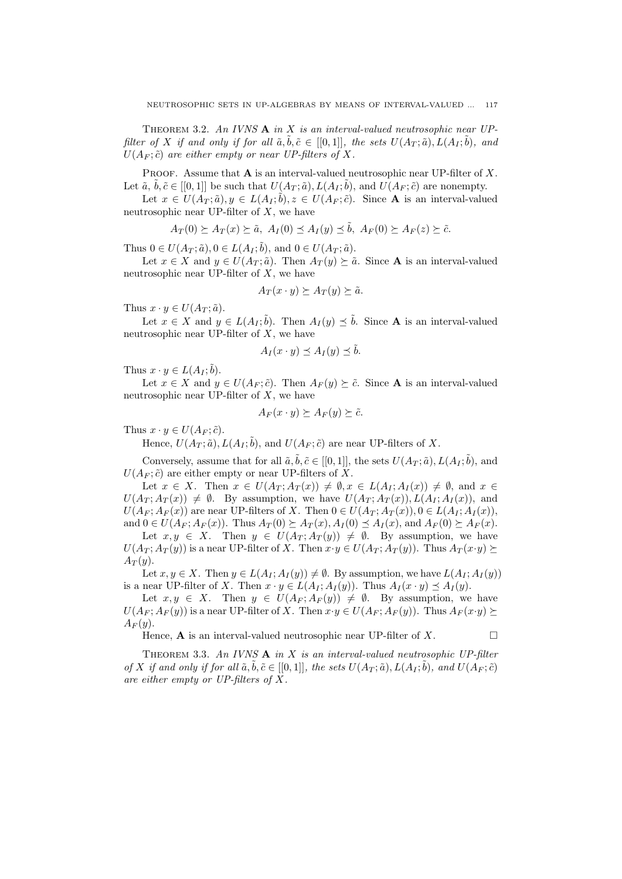Theorem 3.2. *An IVNS* **A** *in X is an interval-valued neutrosophic near UPfilter of X if and only if for all*  $\tilde{a}, \tilde{b}, \tilde{c} \in [[0,1]],$  *the sets*  $U(A_T; \tilde{a}), L(A_I; \tilde{b})$ *, and*  $U(A_F; \tilde{c})$  *are either empty or near UP-filters of X.* 

PROOF. Assume that **A** is an interval-valued neutrosophic near UP-filter of X. Let  $\tilde{a}$ ,  $\tilde{b}$ ,  $\tilde{c}$   $\in$   $[[0,1]]$  be such that  $U(A_T;\tilde{a})$ ,  $L(A_T;\tilde{b})$ , and  $U(A_F;\tilde{c})$  are nonempty.

Let  $x \in U(A_T; \tilde{a}), y \in L(A_T; \tilde{b}), z \in U(A_F; \tilde{c})$ . Since **A** is an interval-valued neutrosophic near UP-filter of *X*, we have

$$
A_T(0) \succeq A_T(x) \succeq \tilde{a}, \ A_I(0) \preceq A_I(y) \preceq \tilde{b}, \ A_F(0) \succeq A_F(z) \succeq \tilde{c}.
$$

Thus  $0 \in U(A_T; \tilde{a}), 0 \in L(A_I; \tilde{b}),$  and  $0 \in U(A_T; \tilde{a}).$ 

Let  $x \in X$  and  $y \in U(A_T; \tilde{a})$ . Then  $A_T(y) \succeq \tilde{a}$ . Since **A** is an interval-valued neutrosophic near UP-filter of *X*, we have

$$
A_T(x \cdot y) \succeq A_T(y) \succeq \tilde{a}.
$$

Thus  $x \cdot y \in U(A_T; \tilde{a})$ .

Let  $x \in X$  and  $y \in L(A_I; \tilde{b})$ . Then  $A_I(y) \preceq \tilde{b}$ . Since **A** is an interval-valued neutrosophic near UP-filter of *X*, we have

$$
A_I(x \cdot y) \preceq A_I(y) \preceq \tilde{b}.
$$

Thus  $x \cdot y \in L(A_I; \tilde{b}).$ 

Let  $x \in X$  and  $y \in U(A_F; \tilde{c})$ . Then  $A_F(y) \succeq \tilde{c}$ . Since **A** is an interval-valued neutrosophic near UP-filter of *X*, we have

$$
A_F(x \cdot y) \succeq A_F(y) \succeq \tilde{c}.
$$

Thus  $x \cdot y \in U(A_F; \tilde{c})$ .

Hence,  $U(A_T; \tilde{a})$ ,  $L(A_I; \tilde{b})$ , and  $U(A_F; \tilde{c})$  are near UP-filters of X.

Conversely, assume that for all  $\tilde{a}, \tilde{b}, \tilde{c} \in [[0,1]],$  the sets  $U(A_T; \tilde{a}), L(A_T; \tilde{b})$ , and  $U(A_F; \tilde{c})$  are either empty or near UP-filters of X.

Let  $x \in X$ . Then  $x \in U(A_T; A_T(x)) \neq \emptyset$ ,  $x \in L(A_I; A_I(x)) \neq \emptyset$ , and  $x \in$  $U(A_T; A_T(x)) \neq \emptyset$ . By assumption, we have  $U(A_T; A_T(x))$ ,  $L(A_I; A_I(x))$ , and  $U(A_F; A_F(x))$  are near UP-filters of X. Then  $0 \in U(A_T; A_T(x)), 0 \in L(A_I; A_I(x)),$ and  $0 \in U(A_F; A_F(x))$ . Thus  $A_T(0) \succeq A_T(x)$ ,  $A_I(0) \preceq A_I(x)$ , and  $A_F(0) \succeq A_F(x)$ .

Let  $x, y \in X$ . Then  $y \in U(A_T; A_T(y)) \neq \emptyset$ . By assumption, we have  $U(A_T; A_T(y))$  is a near UP-filter of X. Then  $x \cdot y \in U(A_T; A_T(y))$ . Thus  $A_T(x \cdot y) \succeq$  $A_T(y)$ .

Let  $x, y \in X$ . Then  $y \in L(A_I; A_I(y)) \neq \emptyset$ . By assumption, we have  $L(A_I; A_I(y))$ is a near UP-filter of *X*. Then  $x \cdot y \in L(A_I; A_I(y))$ . Thus  $A_I(x \cdot y) \preceq A_I(y)$ .

Let  $x, y \in X$ . Then  $y \in U(A_F; A_F(y)) \neq \emptyset$ . By assumption, we have  $U(A_F; A_F(y))$  is a near UP-filter of X. Then  $x \cdot y \in U(A_F; A_F(y))$ . Thus  $A_F(x \cdot y) \succeq$  $A_F(y)$ .

Hence, **A** is an interval-valued neutrosophic near UP-filter of  $X$ .

Theorem 3.3. *An IVNS* **A** *in X is an interval-valued neutrosophic UP-filter* of X if and only if for all  $\tilde{a}, \tilde{b}, \tilde{c} \in [[0,1]],$  the sets  $U(A_T; \tilde{a}), L(A_T; \tilde{b}),$  and  $U(A_F; \tilde{c})$ *are either empty or UP-filters of X.*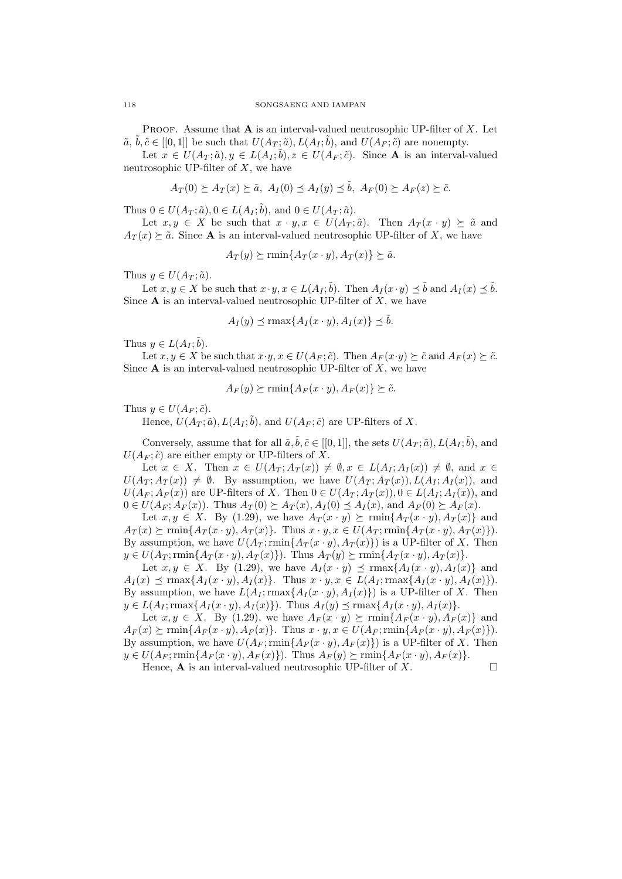Proof. Assume that **A** is an interval-valued neutrosophic UP-filter of *X*. Let  $\tilde{a}, \tilde{b}, \tilde{c} \in [[0,1]]$  be such that  $U(A_T; \tilde{a}), L(A_T; \tilde{b}),$  and  $U(A_F; \tilde{c})$  are nonempty.

Let  $x \in U(A_T; \tilde{a}), y \in L(A_T; \tilde{b}), z \in U(A_F; \tilde{c})$ . Since **A** is an interval-valued neutrosophic UP-filter of *X*, we have

$$
A_T(0) \succeq A_T(x) \succeq \tilde{a}, \ A_I(0) \preceq A_I(y) \preceq \tilde{b}, \ A_F(0) \succeq A_F(z) \succeq \tilde{c}.
$$

Thus  $0 \in U(A_T; \tilde{a}), 0 \in L(A_I; \tilde{b}),$  and  $0 \in U(A_T; \tilde{a}).$ 

Let  $x, y \in X$  be such that  $x \cdot y, x \in U(A_T; \tilde{a})$ . Then  $A_T(x \cdot y) \succeq \tilde{a}$  and  $A_T(x) \succeq \tilde{a}$ . Since **A** is an interval-valued neutrosophic UP-filter of *X*, we have

$$
A_T(y) \succeq \min\{A_T(x \cdot y), A_T(x)\} \succeq \tilde{a}.
$$

Thus  $y \in U(A_T; \tilde{a})$ .

Let  $x, y \in X$  be such that  $x \cdot y, x \in L(A_I; \tilde{b})$ . Then  $A_I(x \cdot y) \preceq \tilde{b}$  and  $A_I(x) \preceq \tilde{b}$ . Since **A** is an interval-valued neutrosophic UP-filter of *X*, we have

$$
A_I(y) \preceq \max\{A_I(x \cdot y), A_I(x)\} \preceq \tilde{b}.
$$

Thus  $y \in L(A_I; \tilde{b}).$ 

Let  $x, y \in X$  be such that  $x \cdot y, x \in U(A_F; \tilde{c})$ . Then  $A_F(x \cdot y) \succeq \tilde{c}$  and  $A_F(x) \succeq \tilde{c}$ . Since **A** is an interval-valued neutrosophic UP-filter of *X*, we have

$$
A_F(y) \succeq \min\{A_F(x \cdot y), A_F(x)\} \succeq \tilde{c}.
$$

Thus  $y \in U(A_F; \tilde{c})$ .

Hence,  $U(A_T; \tilde{a})$ ,  $L(A_I; \tilde{b})$ , and  $U(A_F; \tilde{c})$  are UP-filters of X.

Conversely, assume that for all  $\tilde{a}, \tilde{b}, \tilde{c} \in [[0,1]],$  the sets  $U(A_T; \tilde{a}), L(A_T; \tilde{b})$ , and  $U(A_F; \tilde{c})$  are either empty or UP-filters of X.

Let  $x \in X$ . Then  $x \in U(A_T; A_T(x)) \neq \emptyset$ ,  $x \in L(A_I; A_I(x)) \neq \emptyset$ , and  $x \in$  $U(A_T; A_T(x)) \neq \emptyset$ . By assumption, we have  $U(A_T; A_T(x))$ ,  $L(A_T; A_T(x))$ , and  $U(A_F; A_F(x))$  are UP-filters of X. Then  $0 \in U(A_T; A_T(x)), 0 \in L(A_I; A_I(x)),$  and  $0 \in U(A_F; A_F(x))$ . Thus  $A_T(0) \succeq A_T(x)$ ,  $A_I(0) \preceq A_I(x)$ , and  $A_F(0) \succeq A_F(x)$ .

Let  $x, y \in X$ . By (1.29), we have  $A_T(x \cdot y) \succeq \min\{A_T(x \cdot y), A_T(x)\}\$  and  $A_T(x) \succeq \min\{A_T(x \cdot y), A_T(x)\}\.$  Thus  $x \cdot y, x \in U(A_T; \min\{A_T(x \cdot y), A_T(x)\})\.$ By assumption, we have  $U(A_T; \text{rmin}\{A_T(x \cdot y), A_T(x)\})$  is a UP-filter of *X*. Then  $y \in U(A_T; \min\{A_T(x \cdot y), A_T(x)\})$ . Thus  $A_T(y) \succeq \min\{A_T(x \cdot y), A_T(x)\}.$ 

Let  $x, y \in X$ . By (1.29), we have  $A_I(x \cdot y) \prec \max\{A_I(x \cdot y), A_I(x)\}\$  and  $A_I(x) \preceq \max\{A_I(x \cdot y), A_I(x)\}\.$  Thus  $x \cdot y, x \in L(A_I; \max\{A_I(x \cdot y), A_I(x)\})\.$ By assumption, we have  $L(A_I; \text{rmax}\{A_I(x \cdot y), A_I(x)\})$  is a UP-filter of *X*. Then  $y \in L(A_I; \max\{A_I(x \cdot y), A_I(x)\})$ . Thus  $A_I(y) \preceq \max\{A_I(x \cdot y), A_I(x)\}.$ 

Let  $x, y \in X$ . By (1.29), we have  $A_F(x \cdot y) \succeq \min\{A_F(x \cdot y), A_F(x)\}\$  and  $A_F(x) \succeq \min\{A_F(x \cdot y), A_F(x)\}\.$  Thus  $x \cdot y, x \in U(A_F; \min\{A_F(x \cdot y), A_F(x)\})\.$ By assumption, we have  $U(A_F; \text{rmin}\{A_F(x \cdot y), A_F(x)\})$  is a UP-filter of *X*. Then  $y \in U(A_F; \min\{A_F(x \cdot y), A_F(x)\})$ . Thus  $A_F(y) \succeq \min\{A_F(x \cdot y), A_F(x)\}.$ 

Hence,  $\bf{A}$  is an interval-valued neutrosophic UP-filter of *X*.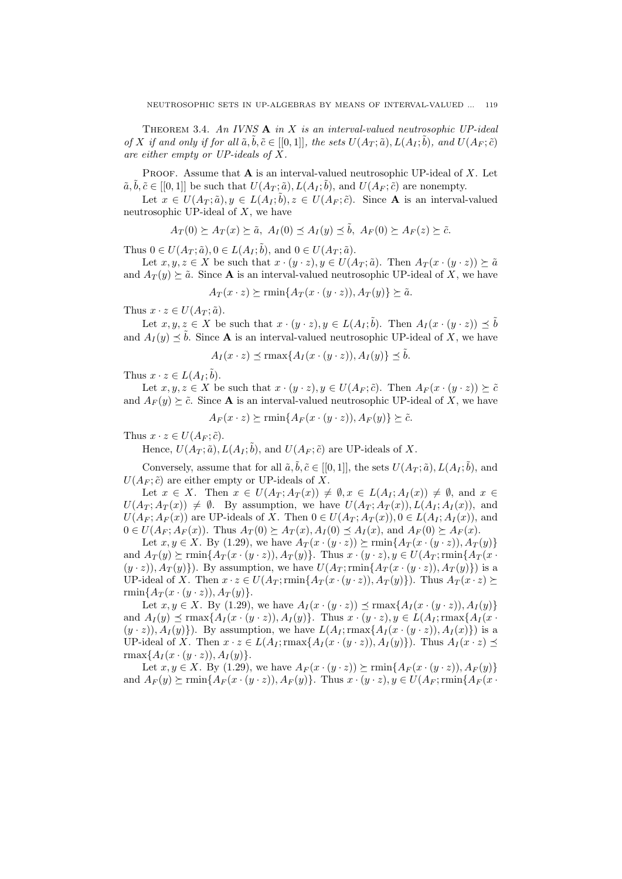Theorem 3.4. *An IVNS* **A** *in X is an interval-valued neutrosophic UP-ideal* of X if and only if for all  $\tilde{a}, \tilde{b}, \tilde{c} \in [[0,1]],$  the sets  $U(A_T; \tilde{a}), L(A_T; \tilde{b}),$  and  $U(A_F; \tilde{c})$ *are either empty or UP-ideals of X.*

Proof. Assume that **A** is an interval-valued neutrosophic UP-ideal of *X*. Let  $\tilde{a}, \tilde{b}, \tilde{c} \in [[0, 1]]$  be such that  $U(A_T; \tilde{a}), L(A_T; \tilde{b}),$  and  $U(A_F; \tilde{c})$  are nonempty.

Let  $x \in U(A_T; \tilde{a}), y \in L(A_T; \tilde{b}), z \in U(A_F; \tilde{c})$ . Since **A** is an interval-valued neutrosophic UP-ideal of *X*, we have

$$
A_T(0) \succeq A_T(x) \succeq \tilde{a}, A_I(0) \preceq A_I(y) \preceq \tilde{b}, A_F(0) \succeq A_F(z) \succeq \tilde{c}.
$$

Thus  $0 \in U(A_T; \tilde{a}), 0 \in L(A_I; \tilde{b}),$  and  $0 \in U(A_T; \tilde{a}).$ 

Let  $x, y, z \in X$  be such that  $x \cdot (y \cdot z), y \in U(A_T; \tilde{a})$ . Then  $A_T(x \cdot (y \cdot z)) \succeq \tilde{a}$ and  $A_T(y) \geq \tilde{a}$ . Since **A** is an interval-valued neutrosophic UP-ideal of *X*, we have

$$
A_T(x \cdot z) \succeq \min\{A_T(x \cdot (y \cdot z)), A_T(y)\} \succeq \tilde{a}.
$$

Thus  $x \cdot z \in U(A_T; \tilde{a})$ .

Let  $x, y, z \in X$  be such that  $x \cdot (y \cdot z), y \in L(A_I; \tilde{b})$ . Then  $A_I(x \cdot (y \cdot z)) \preceq \tilde{b}$ and  $A_I(y) \leq \tilde{b}$ . Since **A** is an interval-valued neutrosophic UP-ideal of *X*, we have

$$
A_I(x \cdot z) \preceq \max\{A_I(x \cdot (y \cdot z)), A_I(y)\} \preceq \tilde{b}.
$$

Thus  $x \cdot z \in L(A_I; \tilde{b}).$ 

Let  $x, y, z \in X$  be such that  $x \cdot (y \cdot z), y \in U(A_F; \tilde{c})$ . Then  $A_F(x \cdot (y \cdot z)) \succeq \tilde{c}$ and  $A_F(y) \succeq \tilde{c}$ . Since **A** is an interval-valued neutrosophic UP-ideal of *X*, we have

 $A_F(x \cdot z) \succeq \min\{A_F(x \cdot (y \cdot z)), A_F(y)\} \succeq \tilde{c}.$ 

Thus  $x \cdot z \in U(A_F; \tilde{c})$ .

Hence,  $U(A_T; \tilde{a})$ ,  $L(A_I; \tilde{b})$ , and  $U(A_F; \tilde{c})$  are UP-ideals of X.

Conversely, assume that for all  $\tilde{a}, \tilde{b}, \tilde{c} \in [[0,1]],$  the sets  $U(A_T; \tilde{a}), L(A_T; \tilde{b})$ , and  $U(A_F; \tilde{c})$  are either empty or UP-ideals of X.

Let  $x \in X$ . Then  $x \in U(A_T; A_T(x)) \neq \emptyset$ ,  $x \in L(A_I; A_I(x)) \neq \emptyset$ , and  $x \in$  $U(A_T; A_T(x)) \neq \emptyset$ . By assumption, we have  $U(A_T; A_T(x))$ ,  $L(A_I; A_I(x))$ , and  $U(A_F; A_F(x))$  are UP-ideals of X. Then  $0 \in U(A_T; A_T(x)), 0 \in L(A_I; A_I(x)),$  and  $0 \in U(A_F; A_F(x))$ . Thus  $A_T(0) \succeq A_T(x)$ ,  $A_I(0) \preceq A_I(x)$ , and  $A_F(0) \succeq A_F(x)$ .

Let  $x, y \in X$ . By (1.29), we have  $A_T(x \cdot (y \cdot z)) \succeq \min\{A_T(x \cdot (y \cdot z)), A_T(y)\}\)$ and  $A_T(y)$   $\succ$  rmin $\{A_T(x \cdot (y \cdot z)), A_T(y)\}$ . Thus  $x \cdot (y \cdot z), y \in U(A_T; \min\{A_T(x \cdot y)\})$  $(y \cdot z)$ ,  $A_T(y)$ }. By assumption, we have  $U(A_T; \min\{A_T(x \cdot (y \cdot z)), A_T(y)\})$  is a UP-ideal of X. Then  $x \cdot z \in U(A_T; \min\{A_T(x \cdot (y \cdot z)), A_T(y)\})$ . Thus  $A_T(x \cdot z)$ rmin ${A_T(x \cdot (y \cdot z)), A_T(y)}$ .

Let  $x, y \in X$ . By (1.29), we have  $A_I(x \cdot (y \cdot z)) \preceq \max\{A_I(x \cdot (y \cdot z)), A_I(y)\}\$ and  $A_I(y) \preceq \max\{A_I(x \cdot (y \cdot z)), A_I(y)\}\.$  Thus  $x \cdot (y \cdot z), y \in L(A_I; \max\{A_I(x \cdot y))\}$  $(y \cdot z)$ ,  $A_I(y)$ }. By assumption, we have  $L(A_I; \max\{A_I(x \cdot (y \cdot z)), A_I(x)\})$  is a UP-ideal of X. Then  $x \cdot z \in L(A_I; \max\{A_I(x \cdot (y \cdot z)), A_I(y)\})$ . Thus  $A_I(x \cdot z) \preceq$ rmax $\{A_I(x \cdot (y \cdot z)), A_I(y)\}.$ 

Let  $x, y \in X$ . By (1.29), we have  $A_F(x \cdot (y \cdot z)) \succeq \min\{A_F(x \cdot (y \cdot z)), A_F(y)\}\)$ and  $A_F(y) \succeq \min\{A_F(x \cdot (y \cdot z)), A_F(y)\}\.$  Thus  $x \cdot (y \cdot z), y \in U(A_F; \min\{A_F(x \cdot y))\}$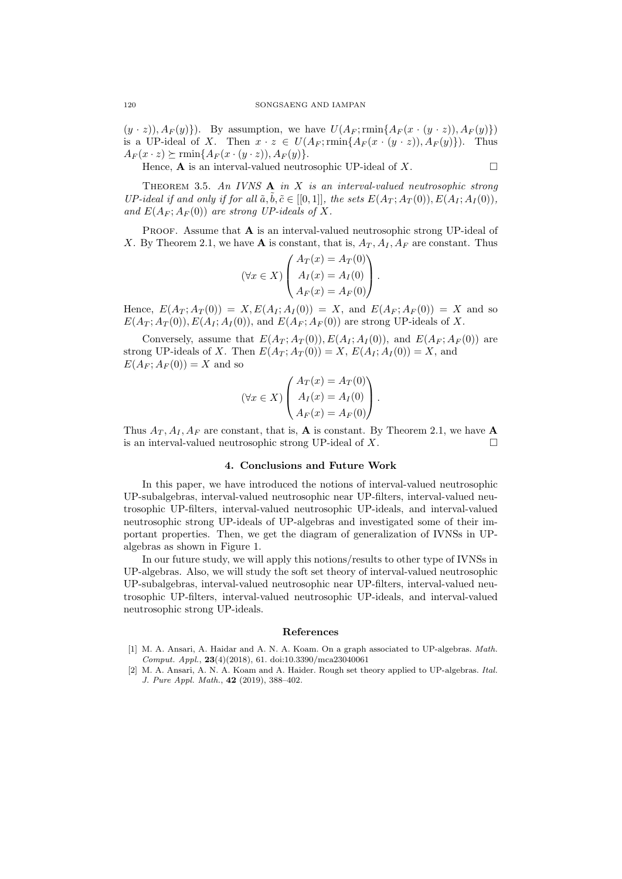$(y \cdot z), A_F(y)$ . By assumption, we have  $U(A_F; \min\{A_F(x \cdot (y \cdot z)), A_F(y)\})$ is a UP-ideal of *X*. Then  $x \cdot z \in U(A_F; \text{rmin}\{A_F(x \cdot (y \cdot z)), A_F(y)\})$ . Thus  $A_F(x \cdot z) \succeq \min\{A_F(x \cdot (y \cdot z)), A_F(y)\}.$ 

Hence, **A** is an interval-valued neutrosophic UP-ideal of  $X$ .

Theorem 3.5. *An IVNS* **A** *in X is an interval-valued neutrosophic strong UP-ideal if and only if for all*  $\tilde{a}, \tilde{b}, \tilde{c} \in [[0,1]],$  the sets  $E(A_T; A_T(0)), E(A_I; A_I(0)),$ and  $E(A_F; A_F(0))$  are strong UP-ideals of X.

PROOF. Assume that **A** is an interval-valued neutrosophic strong UP-ideal of *X*. By Theorem 2.1, we have **A** is constant, that is,  $A_T$ ,  $A_I$ ,  $A_F$  are constant. Thus

$$
(\forall x \in X) \begin{pmatrix} A_T(x) = A_T(0) \\ A_I(x) = A_I(0) \\ A_F(x) = A_F(0) \end{pmatrix}.
$$

Hence,  $E(A_T; A_T(0)) = X, E(A_I; A_I(0)) = X$ , and  $E(A_F; A_F(0)) = X$  and so  $E(A_T; A_T(0)), E(A_I; A_I(0)),$  and  $E(A_F; A_F(0))$  are strong UP-ideals of X.

Conversely, assume that  $E(A_T; A_T(0)), E(A_I; A_I(0)),$  and  $E(A_F; A_F(0))$  are strong UP-ideals of *X*. Then  $E(A_T; A_T(0)) = X$ ,  $E(A_I; A_I(0)) = X$ , and  $E(A_F; A_F(0)) = X$  and so

$$
(\forall x \in X) \begin{pmatrix} A_T(x) = A_T(0) \\ A_I(x) = A_I(0) \\ A_F(x) = A_F(0) \end{pmatrix}.
$$

Thus  $A_T$ ,  $A_I$ ,  $A_F$  are constant, that is, **A** is constant. By Theorem 2.1, we have **A** is an interval-valued neutrosophic strong UP-ideal of  $X$ .

## **4. Conclusions and Future Work**

In this paper, we have introduced the notions of interval-valued neutrosophic UP-subalgebras, interval-valued neutrosophic near UP-filters, interval-valued neutrosophic UP-filters, interval-valued neutrosophic UP-ideals, and interval-valued neutrosophic strong UP-ideals of UP-algebras and investigated some of their important properties. Then, we get the diagram of generalization of IVNSs in UPalgebras as shown in Figure 1.

In our future study, we will apply this notions/results to other type of IVNSs in UP-algebras. Also, we will study the soft set theory of interval-valued neutrosophic UP-subalgebras, interval-valued neutrosophic near UP-filters, interval-valued neutrosophic UP-filters, interval-valued neutrosophic UP-ideals, and interval-valued neutrosophic strong UP-ideals.

#### **References**

- [1] M. A. Ansari, A. Haidar and A. N. A. Koam. On a graph associated to UP-algebras. *Math. Comput. Appl.*, **23**(4)(2018), 61. doi:10.3390/mca23040061
- [2] M. A. Ansari, A. N. A. Koam and A. Haider. Rough set theory applied to UP-algebras. *Ital. J. Pure Appl. Math.*, **42** (2019), 388–402.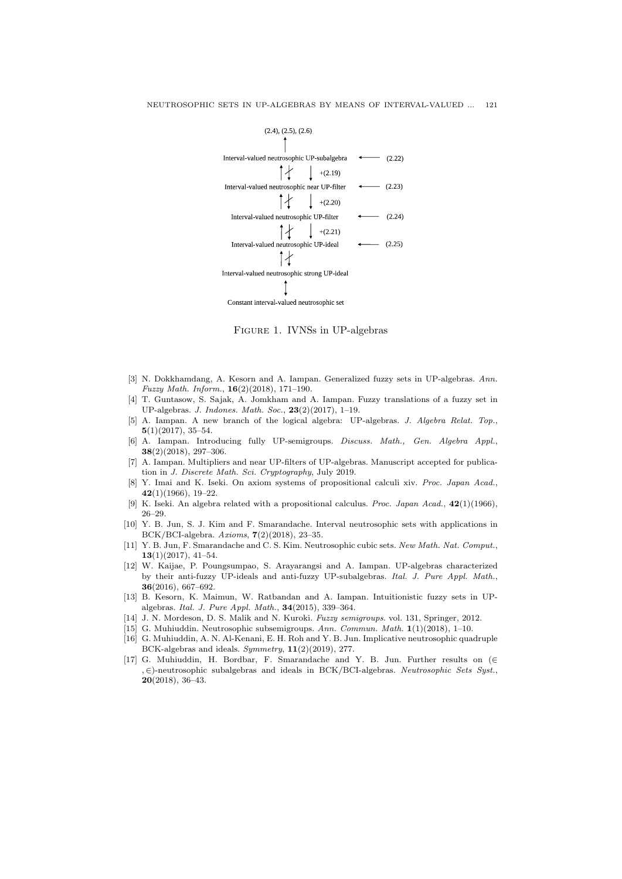

Figure 1. IVNSs in UP-algebras

- [3] N. Dokkhamdang, A. Kesorn and A. Iampan. Generalized fuzzy sets in UP-algebras. *Ann. Fuzzy Math. Inform.*, **16**(2)(2018), 171–190.
- [4] T. Guntasow, S. Sajak, A. Jomkham and A. Iampan. Fuzzy translations of a fuzzy set in UP-algebras. *J. Indones. Math. Soc.*, **23**(2)(2017), 1–19.
- [5] A. Iampan. A new branch of the logical algebra: UP-algebras. *J. Algebra Relat. Top.*, **5**(1)(2017), 35–54.
- [6] A. Iampan. Introducing fully UP-semigroups. *Discuss. Math., Gen. Algebra Appl.*, **38**(2)(2018), 297–306.
- [7] A. Iampan. Multipliers and near UP-filters of UP-algebras. Manuscript accepted for publication in *J. Discrete Math. Sci. Cryptography*, July 2019.
- [8] Y. Imai and K. Iseki. On axiom systems of propositional calculi xiv. *Proc. Japan Acad.*, **42**(1)(1966), 19–22.
- [9] K. Iseki. An algebra related with a propositional calculus. *Proc. Japan Acad.*, **42**(1)(1966), 26–29.
- [10] Y. B. Jun, S. J. Kim and F. Smarandache. Interval neutrosophic sets with applications in BCK/BCI-algebra. *Axioms*, **7**(2)(2018), 23–35.
- [11] Y. B. Jun, F. Smarandache and C. S. Kim. Neutrosophic cubic sets. *New Math. Nat. Comput.*, **13**(1)(2017), 41–54.
- [12] W. Kaijae, P. Poungsumpao, S. Arayarangsi and A. Iampan. UP-algebras characterized by their anti-fuzzy UP-ideals and anti-fuzzy UP-subalgebras. *Ital. J. Pure Appl. Math.*, **36**(2016), 667–692.
- [13] B. Kesorn, K. Maimun, W. Ratbandan and A. Iampan. Intuitionistic fuzzy sets in UPalgebras. *Ital. J. Pure Appl. Math.*, **34**(2015), 339–364.
- [14] J. N. Mordeson, D. S. Malik and N. Kuroki. *Fuzzy semigroups*. vol. 131, Springer, 2012.
- [15] G. Muhiuddin. Neutrosophic subsemigroups. *Ann. Commun. Math.* **1**(1)(2018), 1–10.
- [16] G. Muhiuddin, A. N. Al-Kenani, E. H. Roh and Y. B. Jun. Implicative neutrosophic quadruple BCK-algebras and ideals. *Symmetry*, **11**(2)(2019), 277.
- [17] G. Muhiuddin, H. Bordbar, F. Smarandache and Y. B. Jun. Further results on (*∈ , ∈*)-neutrosophic subalgebras and ideals in BCK/BCI-algebras. *Neutrosophic Sets Syst.*, **20**(2018), 36–43.